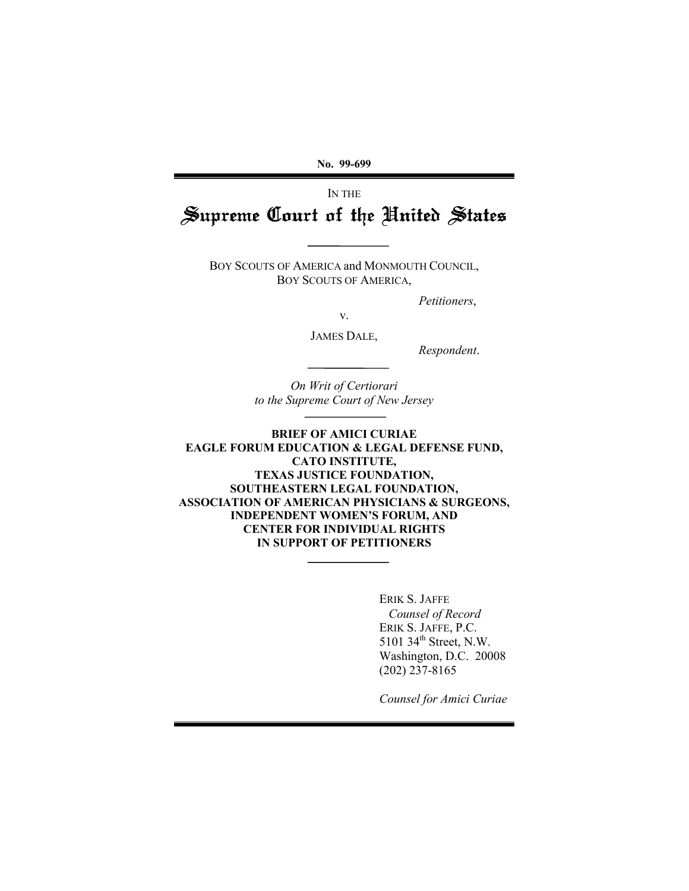**No. 99-699**

# IN THE Supreme Court of the United States

BOY SCOUTS OF AMERICA and MONMOUTH COUNCIL, BOY SCOUTS OF AMERICA,

*Petitioners*,

v.

JAMES DALE,

*Respondent*.

*On Writ of Certiorari to the Supreme Court of New Jersey*

**BRIEF OF AMICI CURIAE EAGLE FORUM EDUCATION & LEGAL DEFENSE FUND, CATO INSTITUTE, TEXAS JUSTICE FOUNDATION, SOUTHEASTERN LEGAL FOUNDATION, ASSOCIATION OF AMERICAN PHYSICIANS & SURGEONS, INDEPENDENT WOMEN'S FORUM, AND CENTER FOR INDIVIDUAL RIGHTS IN SUPPORT OF PETITIONERS**

> ERIK S. JAFFE  *Counsel of Record* ERIK S. JAFFE, P.C. 5101 34<sup>th</sup> Street, N.W. Washington, D.C. 20008 (202) 237-8165

*Counsel for Amici Curiae*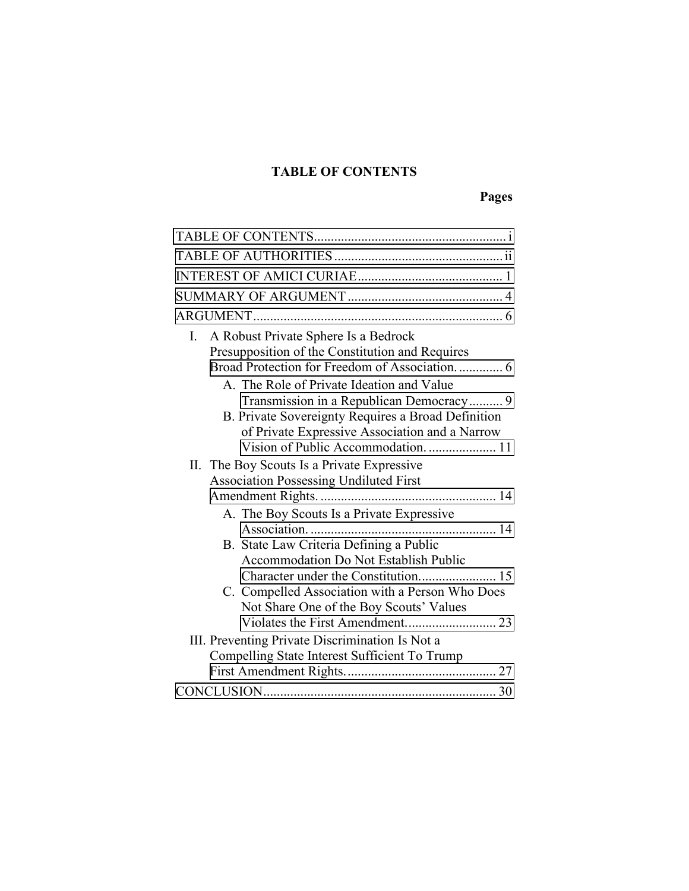## **TABLE OF CONTENTS**

# **Pages**

| A Robust Private Sphere Is a Bedrock<br>L.<br>Presupposition of the Constitution and Requires<br>Broad Protection for Freedom of Association 6                                                                                       |
|--------------------------------------------------------------------------------------------------------------------------------------------------------------------------------------------------------------------------------------|
| A. The Role of Private Ideation and Value<br>Transmission in a Republican Democracy 9<br>B. Private Sovereignty Requires a Broad Definition<br>of Private Expressive Association and a Narrow<br>Vision of Public Accommodation.  11 |
| II. The Boy Scouts Is a Private Expressive                                                                                                                                                                                           |
| <b>Association Possessing Undiluted First</b>                                                                                                                                                                                        |
|                                                                                                                                                                                                                                      |
| A. The Boy Scouts Is a Private Expressive                                                                                                                                                                                            |
| B. State Law Criteria Defining a Public<br><b>Accommodation Do Not Establish Public</b><br>C. Compelled Association with a Person Who Does                                                                                           |
| Not Share One of the Boy Scouts' Values                                                                                                                                                                                              |
| III. Preventing Private Discrimination Is Not a                                                                                                                                                                                      |
| Compelling State Interest Sufficient To Trump                                                                                                                                                                                        |
|                                                                                                                                                                                                                                      |
|                                                                                                                                                                                                                                      |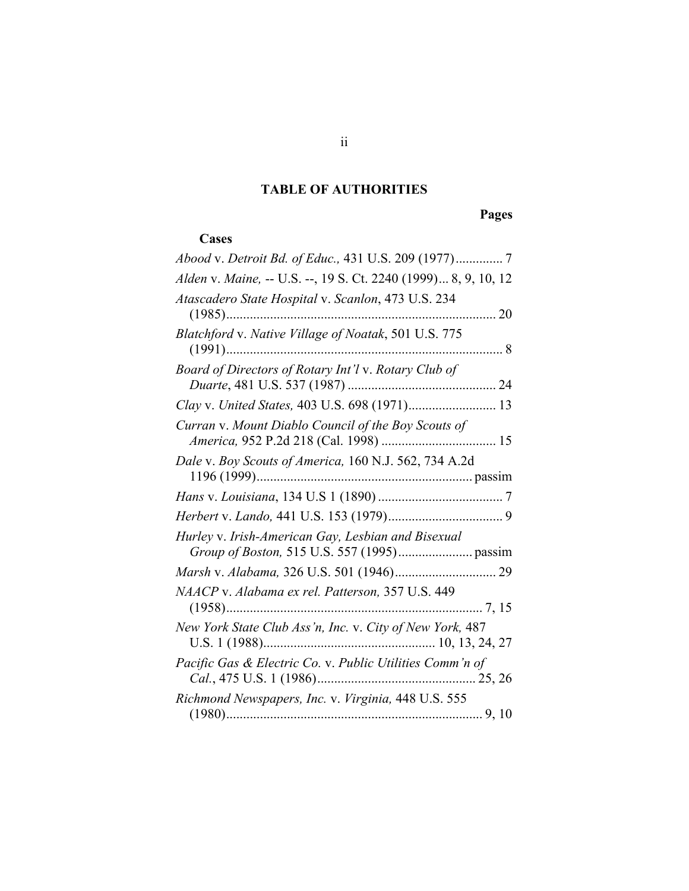## **TABLE OF AUTHORITIES**

**Pages**

## <span id="page-2-0"></span> **Cases**

| Alden v. Maine, -- U.S. --, 19 S. Ct. 2240 (1999) 8, 9, 10, 12 |
|----------------------------------------------------------------|
| Atascadero State Hospital v. Scanlon, 473 U.S. 234             |
| Blatchford v. Native Village of Noatak, 501 U.S. 775<br>. 8    |
| Board of Directors of Rotary Int'l v. Rotary Club of           |
| Clay v. United States, 403 U.S. 698 (1971) 13                  |
| Curran v. Mount Diablo Council of the Boy Scouts of            |
| Dale v. Boy Scouts of America, 160 N.J. 562, 734 A.2d          |
|                                                                |
|                                                                |
| Hurley v. Irish-American Gay, Lesbian and Bisexual             |
|                                                                |
| NAACP v. Alabama ex rel. Patterson, 357 U.S. 449               |
| New York State Club Ass'n, Inc. v. City of New York, 487       |
| Pacific Gas & Electric Co. v. Public Utilities Comm'n of       |
| Richmond Newspapers, Inc. v. Virginia, 448 U.S. 555            |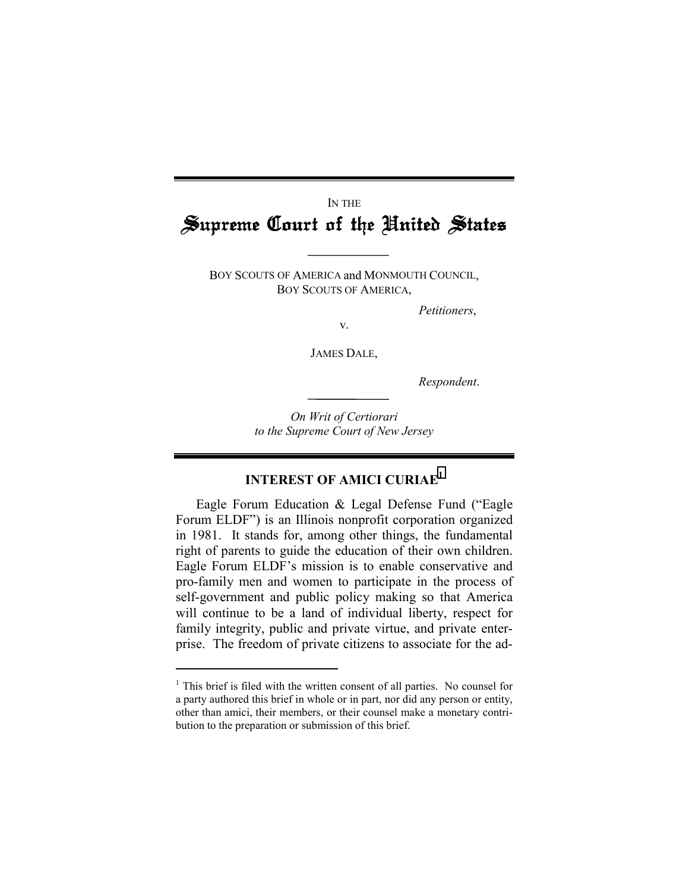# <span id="page-4-0"></span>IN THE Supreme Court of the United States

BOY SCOUTS OF AMERICA and MONMOUTH COUNCIL, BOY SCOUTS OF AMERICA,

*Petitioners*,

v.

JAMES DALE,

*Respondent*.

*On Writ of Certiorari to the Supreme Court of New Jersey*

### **INTEREST OF AMICI CURIAE<sup>1</sup>**

Eagle Forum Education & Legal Defense Fund ("Eagle Forum ELDF") is an Illinois nonprofit corporation organized in 1981. It stands for, among other things, the fundamental right of parents to guide the education of their own children. Eagle Forum ELDF's mission is to enable conservative and pro-family men and women to participate in the process of self-government and public policy making so that America will continue to be a land of individual liberty, respect for family integrity, public and private virtue, and private enterprise. The freedom of private citizens to associate for the ad-

<sup>&</sup>lt;sup>1</sup> This brief is filed with the written consent of all parties. No counsel for a party authored this brief in whole or in part, nor did any person or entity, other than amici, their members, or their counsel make a monetary contribution to the preparation or submission of this brief.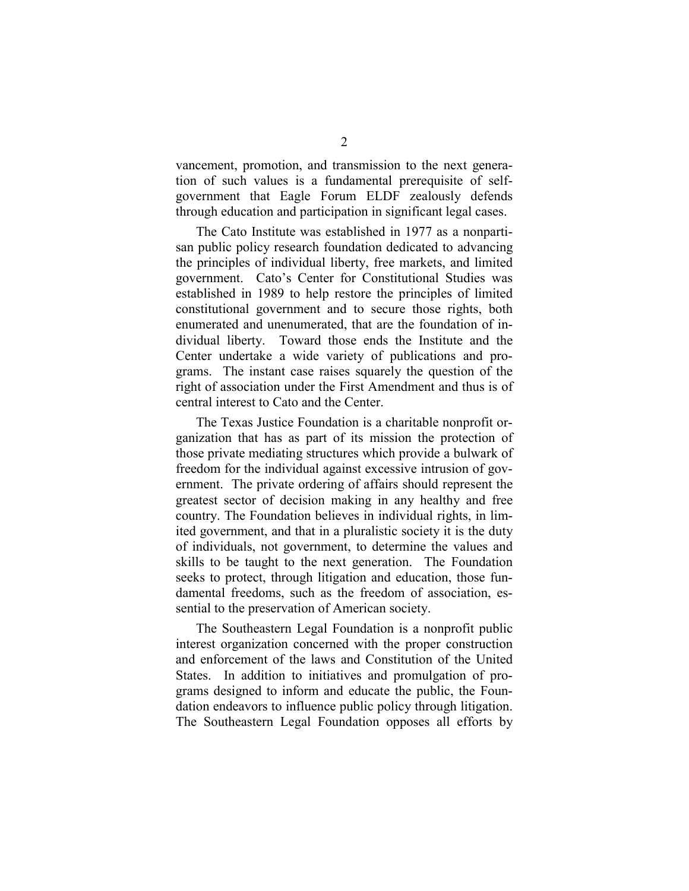vancement, promotion, and transmission to the next generation of such values is a fundamental prerequisite of selfgovernment that Eagle Forum ELDF zealously defends through education and participation in significant legal cases.

The Cato Institute was established in 1977 as a nonpartisan public policy research foundation dedicated to advancing the principles of individual liberty, free markets, and limited government. Cato's Center for Constitutional Studies was established in 1989 to help restore the principles of limited constitutional government and to secure those rights, both enumerated and unenumerated, that are the foundation of individual liberty. Toward those ends the Institute and the Center undertake a wide variety of publications and programs. The instant case raises squarely the question of the right of association under the First Amendment and thus is of central interest to Cato and the Center.

The Texas Justice Foundation is a charitable nonprofit organization that has as part of its mission the protection of those private mediating structures which provide a bulwark of freedom for the individual against excessive intrusion of government. The private ordering of affairs should represent the greatest sector of decision making in any healthy and free country. The Foundation believes in individual rights, in limited government, and that in a pluralistic society it is the duty of individuals, not government, to determine the values and skills to be taught to the next generation. The Foundation seeks to protect, through litigation and education, those fundamental freedoms, such as the freedom of association, essential to the preservation of American society.

The Southeastern Legal Foundation is a nonprofit public interest organization concerned with the proper construction and enforcement of the laws and Constitution of the United States. In addition to initiatives and promulgation of programs designed to inform and educate the public, the Foundation endeavors to influence public policy through litigation. The Southeastern Legal Foundation opposes all efforts by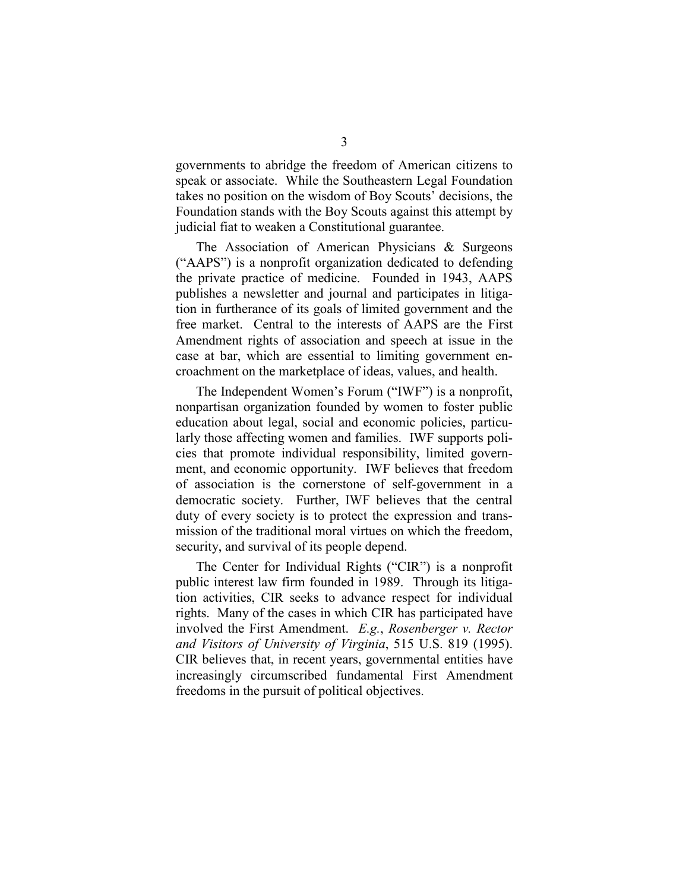governments to abridge the freedom of American citizens to speak or associate. While the Southeastern Legal Foundation takes no position on the wisdom of Boy Scouts' decisions, the Foundation stands with the Boy Scouts against this attempt by judicial fiat to weaken a Constitutional guarantee.

The Association of American Physicians & Surgeons ("AAPS") is a nonprofit organization dedicated to defending the private practice of medicine. Founded in 1943, AAPS publishes a newsletter and journal and participates in litigation in furtherance of its goals of limited government and the free market. Central to the interests of AAPS are the First Amendment rights of association and speech at issue in the case at bar, which are essential to limiting government encroachment on the marketplace of ideas, values, and health.

The Independent Women's Forum ("IWF") is a nonprofit, nonpartisan organization founded by women to foster public education about legal, social and economic policies, particularly those affecting women and families. IWF supports policies that promote individual responsibility, limited government, and economic opportunity. IWF believes that freedom of association is the cornerstone of self-government in a democratic society. Further, IWF believes that the central duty of every society is to protect the expression and transmission of the traditional moral virtues on which the freedom, security, and survival of its people depend.

The Center for Individual Rights ("CIR") is a nonprofit public interest law firm founded in 1989. Through its litigation activities, CIR seeks to advance respect for individual rights. Many of the cases in which CIR has participated have involved the First Amendment. *E.g.*, *Rosenberger v. Rector and Visitors of University of Virginia*, 515 U.S. 819 (1995). CIR believes that, in recent years, governmental entities have increasingly circumscribed fundamental First Amendment freedoms in the pursuit of political objectives.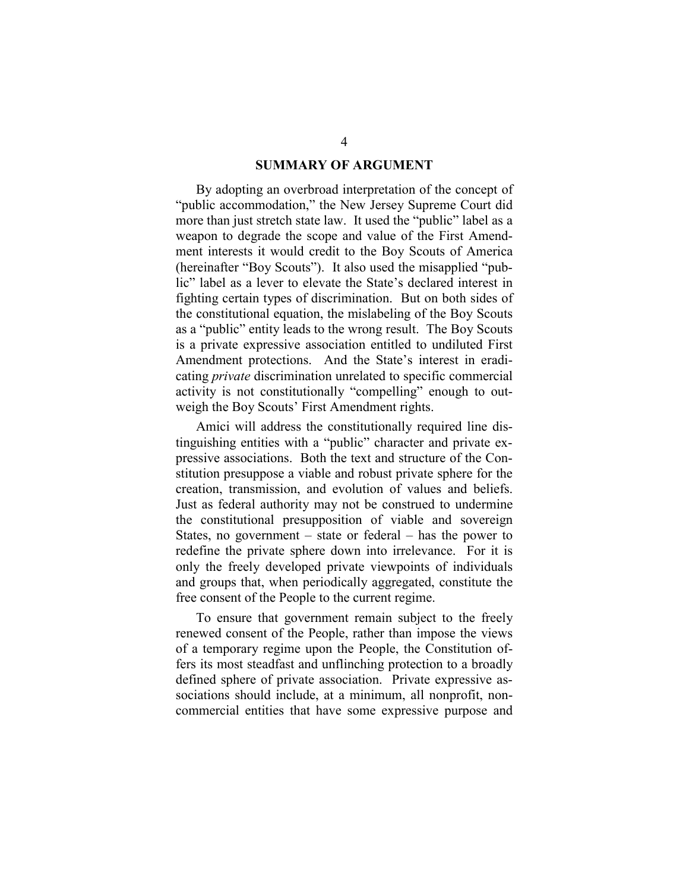#### **SUMMARY OF ARGUMENT**

<span id="page-7-0"></span>By adopting an overbroad interpretation of the concept of "public accommodation," the New Jersey Supreme Court did more than just stretch state law. It used the "public" label as a weapon to degrade the scope and value of the First Amendment interests it would credit to the Boy Scouts of America (hereinafter "Boy Scouts"). It also used the misapplied "public" label as a lever to elevate the State's declared interest in fighting certain types of discrimination. But on both sides of the constitutional equation, the mislabeling of the Boy Scouts as a "public" entity leads to the wrong result. The Boy Scouts is a private expressive association entitled to undiluted First Amendment protections. And the State's interest in eradicating *private* discrimination unrelated to specific commercial activity is not constitutionally "compelling" enough to outweigh the Boy Scouts' First Amendment rights.

Amici will address the constitutionally required line distinguishing entities with a "public" character and private expressive associations. Both the text and structure of the Constitution presuppose a viable and robust private sphere for the creation, transmission, and evolution of values and beliefs. Just as federal authority may not be construed to undermine the constitutional presupposition of viable and sovereign States, no government – state or federal – has the power to redefine the private sphere down into irrelevance. For it is only the freely developed private viewpoints of individuals and groups that, when periodically aggregated, constitute the free consent of the People to the current regime.

To ensure that government remain subject to the freely renewed consent of the People, rather than impose the views of a temporary regime upon the People, the Constitution offers its most steadfast and unflinching protection to a broadly defined sphere of private association. Private expressive associations should include, at a minimum, all nonprofit, noncommercial entities that have some expressive purpose and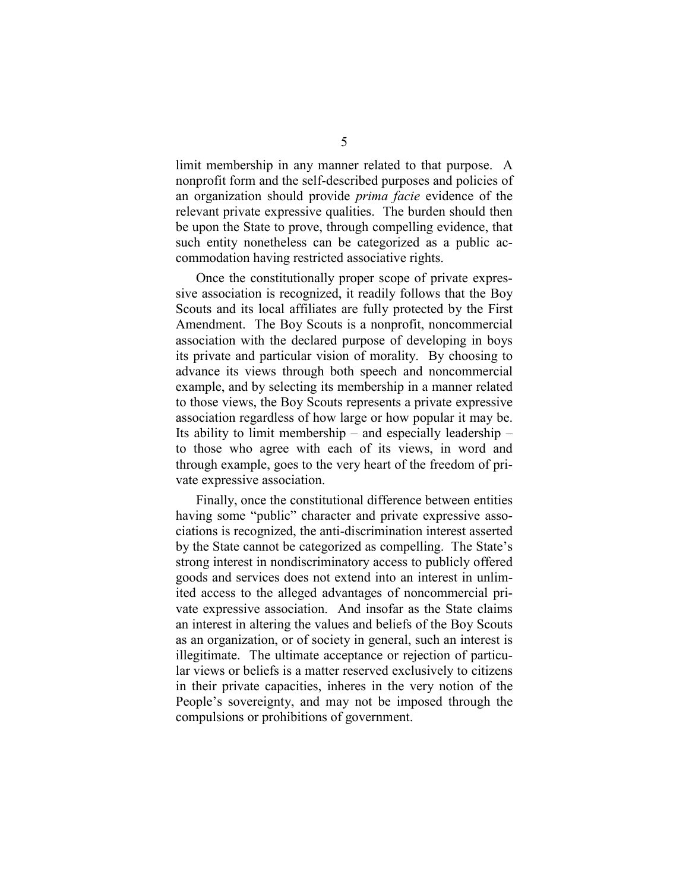limit membership in any manner related to that purpose. A nonprofit form and the self-described purposes and policies of an organization should provide *prima facie* evidence of the relevant private expressive qualities. The burden should then be upon the State to prove, through compelling evidence, that such entity nonetheless can be categorized as a public accommodation having restricted associative rights.

Once the constitutionally proper scope of private expressive association is recognized, it readily follows that the Boy Scouts and its local affiliates are fully protected by the First Amendment. The Boy Scouts is a nonprofit, noncommercial association with the declared purpose of developing in boys its private and particular vision of morality. By choosing to advance its views through both speech and noncommercial example, and by selecting its membership in a manner related to those views, the Boy Scouts represents a private expressive association regardless of how large or how popular it may be. Its ability to limit membership – and especially leadership – to those who agree with each of its views, in word and through example, goes to the very heart of the freedom of private expressive association.

Finally, once the constitutional difference between entities having some "public" character and private expressive associations is recognized, the anti-discrimination interest asserted by the State cannot be categorized as compelling. The State's strong interest in nondiscriminatory access to publicly offered goods and services does not extend into an interest in unlimited access to the alleged advantages of noncommercial private expressive association. And insofar as the State claims an interest in altering the values and beliefs of the Boy Scouts as an organization, or of society in general, such an interest is illegitimate. The ultimate acceptance or rejection of particular views or beliefs is a matter reserved exclusively to citizens in their private capacities, inheres in the very notion of the People's sovereignty, and may not be imposed through the compulsions or prohibitions of government.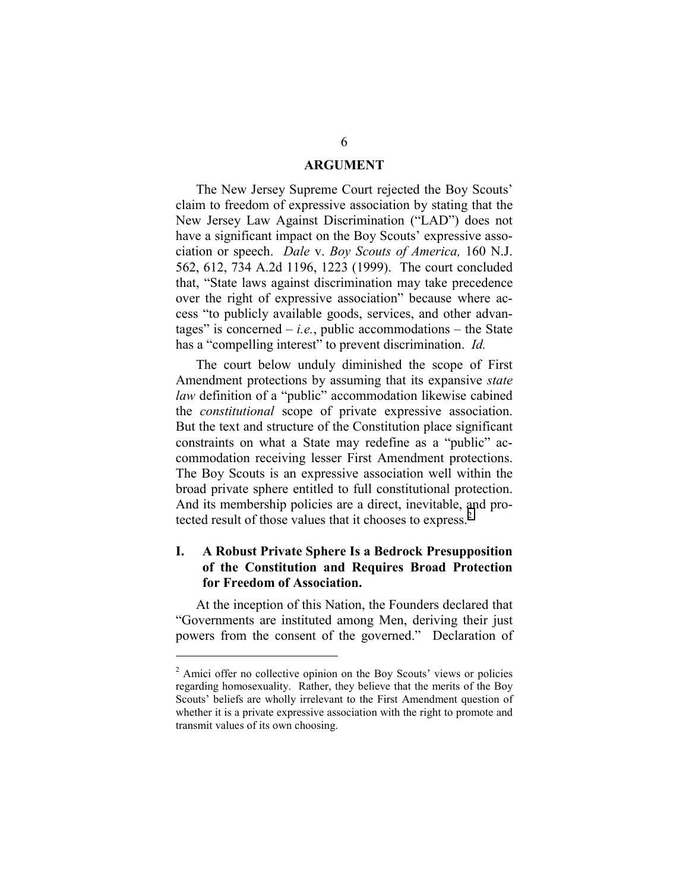#### **ARGUMENT**

<span id="page-9-0"></span>The New Jersey Supreme Court rejected the Boy Scouts' claim to freedom of expressive association by stating that the New Jersey Law Against Discrimination ("LAD") does not have a significant impact on the Boy Scouts' expressive association or speech. *Dale* v. *Boy Scouts of America,* 160 N.J. 562, 612, 734 A.2d 1196, 1223 (1999). The court concluded that, "State laws against discrimination may take precedence over the right of expressive association" because where access "to publicly available goods, services, and other advantages" is concerned  $-i.e.,$  public accommodations  $-$  the State has a "compelling interest" to prevent discrimination. *Id.*

The court below unduly diminished the scope of First Amendment protections by assuming that its expansive *state law* definition of a "public" accommodation likewise cabined the *constitutional* scope of private expressive association. But the text and structure of the Constitution place significant constraints on what a State may redefine as a "public" accommodation receiving lesser First Amendment protections. The Boy Scouts is an expressive association well within the broad private sphere entitled to full constitutional protection. And its membership policies are a direct, inevitable, and protected result of those values that it chooses to express.<sup>2</sup>

### **I. A Robust Private Sphere Is a Bedrock Presupposition of the Constitution and Requires Broad Protection for Freedom of Association.**

At the inception of this Nation, the Founders declared that "Governments are instituted among Men, deriving their just powers from the consent of the governed." Declaration of

<sup>&</sup>lt;sup>2</sup> Amici offer no collective opinion on the Boy Scouts' views or policies regarding homosexuality. Rather, they believe that the merits of the Boy Scouts' beliefs are wholly irrelevant to the First Amendment question of whether it is a private expressive association with the right to promote and transmit values of its own choosing.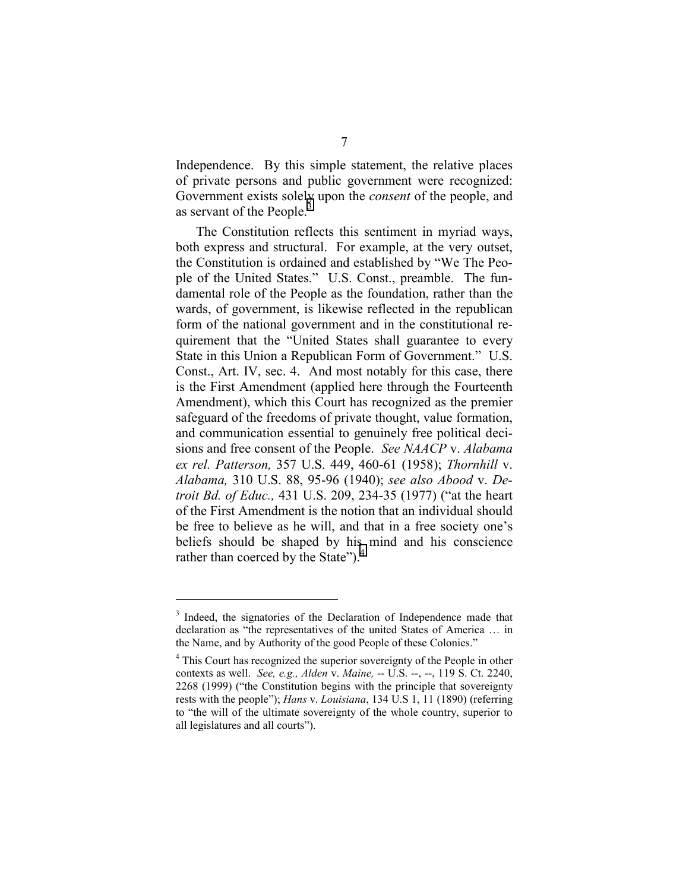Independence. By this simple statement, the relative places of private persons and public government were recognized: Government exists solely upon the *consent* of the people, and as servant of the People.<sup>3</sup>

The Constitution reflects this sentiment in myriad ways, both express and structural. For example, at the very outset, the Constitution is ordained and established by "We The People of the United States." U.S. Const., preamble. The fundamental role of the People as the foundation, rather than the wards, of government, is likewise reflected in the republican form of the national government and in the constitutional requirement that the "United States shall guarantee to every State in this Union a Republican Form of Government." U.S. Const., Art. IV, sec. 4. And most notably for this case, there is the First Amendment (applied here through the Fourteenth Amendment), which this Court has recognized as the premier safeguard of the freedoms of private thought, value formation, and communication essential to genuinely free political decisions and free consent of the People. *See NAACP* v. *Alabama ex rel. Patterson,* 357 U.S. 449, 460-61 (1958); *Thornhill* v. *Alabama,* 310 U.S. 88, 95-96 (1940); *see also Abood* v. *Detroit Bd. of Educ.,* 431 U.S. 209, 234-35 (1977) ("at the heart of the First Amendment is the notion that an individual should be free to believe as he will, and that in a free society one's beliefs should be shaped by his mind and his conscience rather than coerced by the State").<sup>4</sup>

<sup>&</sup>lt;sup>3</sup> Indeed, the signatories of the Declaration of Independence made that declaration as "the representatives of the united States of America … in the Name, and by Authority of the good People of these Colonies."

<sup>&</sup>lt;sup>4</sup> This Court has recognized the superior sovereignty of the People in other contexts as well. *See, e.g., Alden* v. *Maine,* -- U.S. --, --, 119 S. Ct. 2240, 2268 (1999) ("the Constitution begins with the principle that sovereignty rests with the people"); *Hans* v. *Louisiana*, 134 U.S 1, 11 (1890) (referring to "the will of the ultimate sovereignty of the whole country, superior to all legislatures and all courts").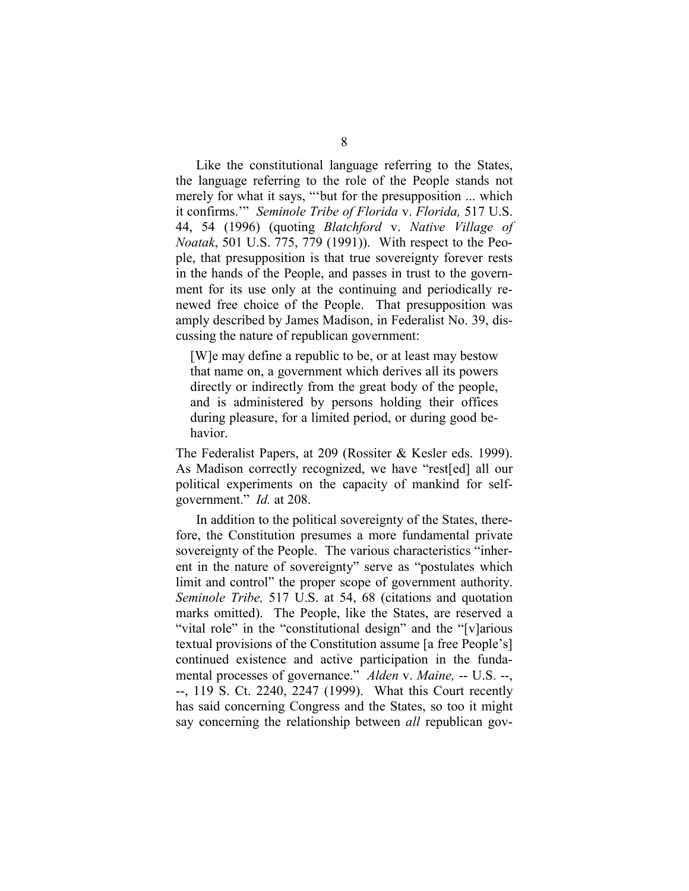Like the constitutional language referring to the States, the language referring to the role of the People stands not merely for what it says, "'but for the presupposition ... which it confirms.'" *Seminole Tribe of Florida* v. *Florida,* 517 U.S. 44, 54 (1996) (quoting *Blatchford* v. *Native Village of Noatak*, 501 U.S. 775, 779 (1991)). With respect to the People, that presupposition is that true sovereignty forever rests in the hands of the People, and passes in trust to the government for its use only at the continuing and periodically renewed free choice of the People. That presupposition was amply described by James Madison, in Federalist No. 39, discussing the nature of republican government:

[W]e may define a republic to be, or at least may bestow that name on, a government which derives all its powers directly or indirectly from the great body of the people, and is administered by persons holding their offices during pleasure, for a limited period, or during good behavior.

The Federalist Papers, at 209 (Rossiter & Kesler eds. 1999). As Madison correctly recognized, we have "rest[ed] all our political experiments on the capacity of mankind for selfgovernment." *Id.* at 208.

In addition to the political sovereignty of the States, therefore, the Constitution presumes a more fundamental private sovereignty of the People. The various characteristics "inherent in the nature of sovereignty" serve as "postulates which limit and control" the proper scope of government authority. *Seminole Tribe,* 517 U.S. at 54, 68 (citations and quotation marks omitted). The People, like the States, are reserved a "vital role" in the "constitutional design" and the "[v]arious textual provisions of the Constitution assume [a free People's] continued existence and active participation in the fundamental processes of governance." *Alden* v. *Maine,* -- U.S. --, --, 119 S. Ct. 2240, 2247 (1999). What this Court recently has said concerning Congress and the States, so too it might say concerning the relationship between *all* republican gov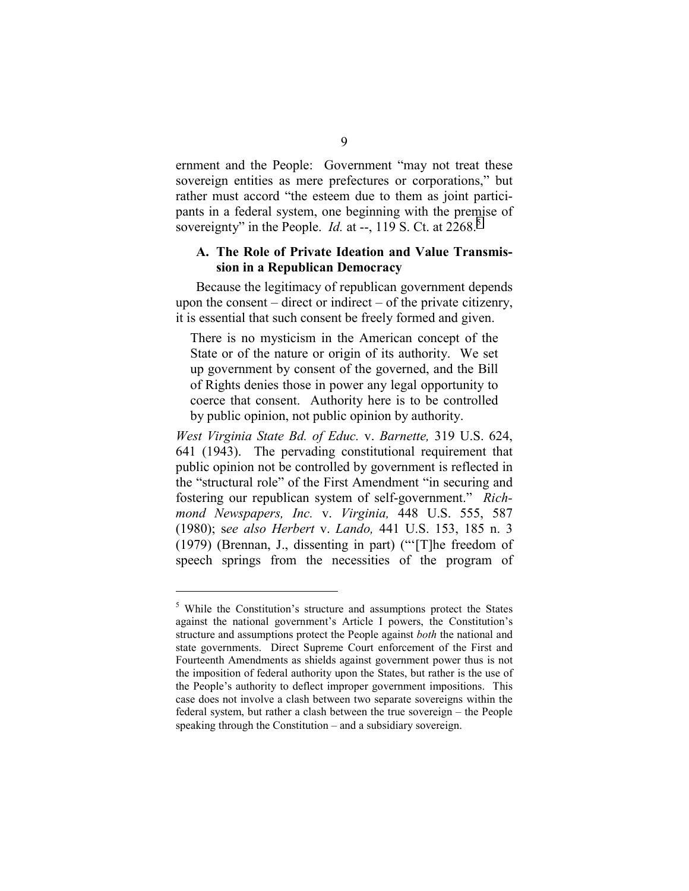<span id="page-12-0"></span>ernment and the People: Government "may not treat these sovereign entities as mere prefectures or corporations," but rather must accord "the esteem due to them as joint participants in a federal system, one beginning with the premise of sovereignty" in the People. *Id.* at  $-$ , 119 S. Ct. at 2268.<sup>5</sup>

#### **A. The Role of Private Ideation and Value Transmission in a Republican Democracy**

Because the legitimacy of republican government depends upon the consent – direct or indirect – of the private citizenry, it is essential that such consent be freely formed and given.

There is no mysticism in the American concept of the State or of the nature or origin of its authority. We set up government by consent of the governed, and the Bill of Rights denies those in power any legal opportunity to coerce that consent. Authority here is to be controlled by public opinion, not public opinion by authority.

*West Virginia State Bd. of Educ.* v. *Barnette,* 319 U.S. 624, 641 (1943). The pervading constitutional requirement that public opinion not be controlled by government is reflected in the "structural role" of the First Amendment "in securing and fostering our republican system of self-government." *Richmond Newspapers, Inc.* v. *Virginia,* 448 U.S. 555, 587 (1980); s*ee also Herbert* v. *Lando,* 441 U.S. 153, 185 n. 3 (1979) (Brennan, J., dissenting in part) ("'[T]he freedom of speech springs from the necessities of the program of

<sup>&</sup>lt;sup>5</sup> While the Constitution's structure and assumptions protect the States against the national government's Article I powers, the Constitution's structure and assumptions protect the People against *both* the national and state governments. Direct Supreme Court enforcement of the First and Fourteenth Amendments as shields against government power thus is not the imposition of federal authority upon the States, but rather is the use of the People's authority to deflect improper government impositions. This case does not involve a clash between two separate sovereigns within the federal system, but rather a clash between the true sovereign – the People speaking through the Constitution – and a subsidiary sovereign.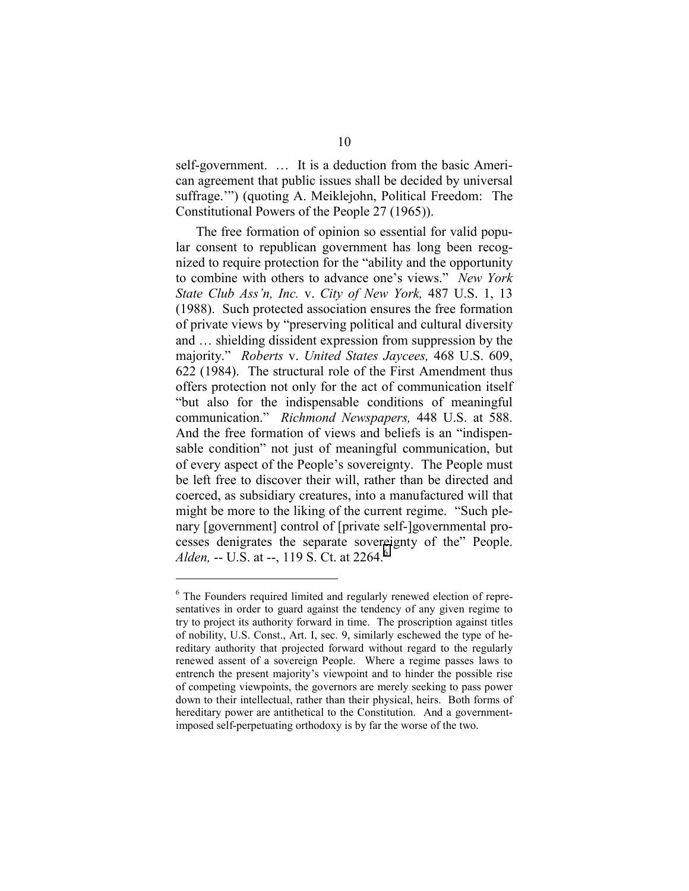self-government. … It is a deduction from the basic American agreement that public issues shall be decided by universal suffrage.'") (quoting A. Meiklejohn, Political Freedom: The Constitutional Powers of the People 27 (1965)).

The free formation of opinion so essential for valid popular consent to republican government has long been recognized to require protection for the "ability and the opportunity to combine with others to advance one's views." *New York State Club Ass'n, Inc.* v. *City of New York,* 487 U.S. 1, 13 (1988). Such protected association ensures the free formation of private views by "preserving political and cultural diversity and … shielding dissident expression from suppression by the majority." *Roberts* v. *United States Jaycees,* 468 U.S. 609, 622 (1984). The structural role of the First Amendment thus offers protection not only for the act of communication itself "but also for the indispensable conditions of meaningful communication." *Richmond Newspapers,* 448 U.S. at 588. And the free formation of views and beliefs is an "indispensable condition" not just of meaningful communication, but of every aspect of the People's sovereignty. The People must be left free to discover their will, rather than be directed and coerced, as subsidiary creatures, into a manufactured will that might be more to the liking of the current regime. "Such plenary [government] control of [private self-]governmental processes denigrates the separate sovereignty of the" People. *Alden, --* U.S. at --, 119 S. Ct. at 2264.<sup>6</sup>

<sup>&</sup>lt;sup>6</sup> The Founders required limited and regularly renewed election of representatives in order to guard against the tendency of any given regime to try to project its authority forward in time. The proscription against titles of nobility, U.S. Const., Art. I, sec. 9, similarly eschewed the type of hereditary authority that projected forward without regard to the regularly renewed assent of a sovereign People. Where a regime passes laws to entrench the present majority's viewpoint and to hinder the possible rise of competing viewpoints, the governors are merely seeking to pass power down to their intellectual, rather than their physical, heirs. Both forms of hereditary power are antithetical to the Constitution. And a governmentimposed self-perpetuating orthodoxy is by far the worse of the two.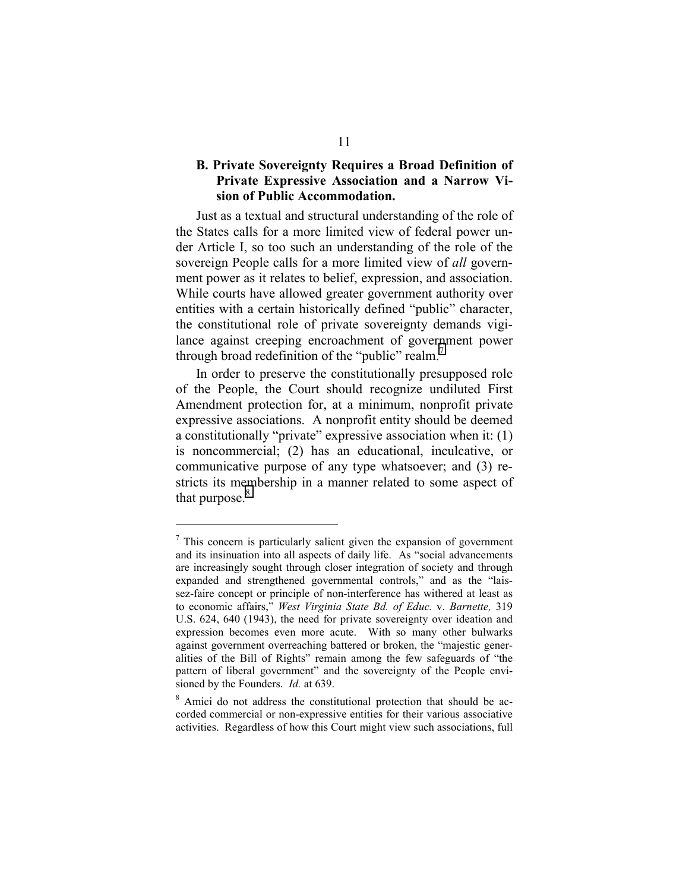#### <span id="page-14-0"></span>**B. Private Sovereignty Requires a Broad Definition of Private Expressive Association and a Narrow Vision of Public Accommodation.**

Just as a textual and structural understanding of the role of the States calls for a more limited view of federal power under Article I, so too such an understanding of the role of the sovereign People calls for a more limited view of *all* government power as it relates to belief, expression, and association. While courts have allowed greater government authority over entities with a certain historically defined "public" character, the constitutional role of private sovereignty demands vigilance against creeping encroachment of government power through broad redefinition of the "public" realm. $<sup>7</sup>$ </sup>

In order to preserve the constitutionally presupposed role of the People, the Court should recognize undiluted First Amendment protection for, at a minimum, nonprofit private expressive associations. A nonprofit entity should be deemed a constitutionally "private" expressive association when it: (1) is noncommercial; (2) has an educational, inculcative, or communicative purpose of any type whatsoever; and (3) restricts its membership in a manner related to some aspect of that purpose. $8$ 

<sup>&</sup>lt;sup>7</sup> This concern is particularly salient given the expansion of government and its insinuation into all aspects of daily life. As "social advancements are increasingly sought through closer integration of society and through expanded and strengthened governmental controls," and as the "laissez-faire concept or principle of non-interference has withered at least as to economic affairs," *West Virginia State Bd. of Educ.* v. *Barnette,* 319 U.S. 624, 640 (1943), the need for private sovereignty over ideation and expression becomes even more acute. With so many other bulwarks against government overreaching battered or broken, the "majestic generalities of the Bill of Rights" remain among the few safeguards of "the pattern of liberal government" and the sovereignty of the People envisioned by the Founders. *Id.* at 639.

<sup>&</sup>lt;sup>8</sup> Amici do not address the constitutional protection that should be accorded commercial or non-expressive entities for their various associative activities. Regardless of how this Court might view such associations, full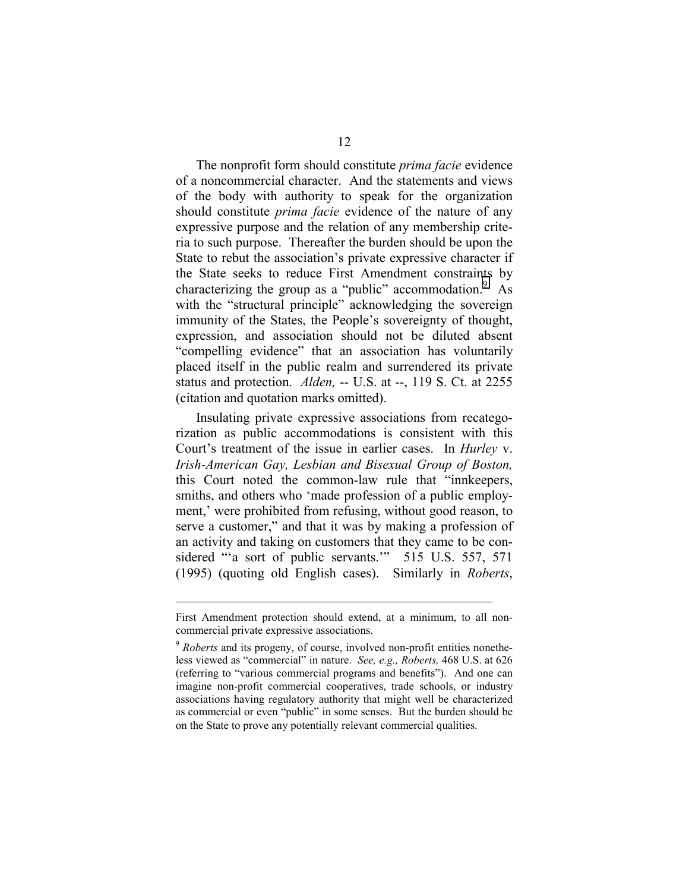The nonprofit form should constitute *prima facie* evidence of a noncommercial character. And the statements and views of the body with authority to speak for the organization should constitute *prima facie* evidence of the nature of any expressive purpose and the relation of any membership criteria to such purpose. Thereafter the burden should be upon the State to rebut the association's private expressive character if the State seeks to reduce First Amendment constraints by characterizing the group as a "public" accommodation.  $\overline{9}$  As with the "structural principle" acknowledging the sovereign immunity of the States, the People's sovereignty of thought, expression, and association should not be diluted absent "compelling evidence" that an association has voluntarily placed itself in the public realm and surrendered its private status and protection. *Alden,* -- U.S. at --, 119 S. Ct. at 2255 (citation and quotation marks omitted).

Insulating private expressive associations from recategorization as public accommodations is consistent with this Court's treatment of the issue in earlier cases. In *Hurley* v. *Irish-American Gay, Lesbian and Bisexual Group of Boston,* this Court noted the common-law rule that "innkeepers, smiths, and others who 'made profession of a public employment,' were prohibited from refusing, without good reason, to serve a customer," and that it was by making a profession of an activity and taking on customers that they came to be considered "a sort of public servants." 515 U.S. 557, 571 (1995) (quoting old English cases). Similarly in *Roberts*,

First Amendment protection should extend, at a minimum, to all noncommercial private expressive associations.

<sup>9</sup> *Roberts* and its progeny, of course, involved non-profit entities nonetheless viewed as "commercial" in nature. *See, e.g., Roberts,* 468 U.S. at 626 (referring to "various commercial programs and benefits"). And one can imagine non-profit commercial cooperatives, trade schools, or industry associations having regulatory authority that might well be characterized as commercial or even "public" in some senses. But the burden should be on the State to prove any potentially relevant commercial qualities.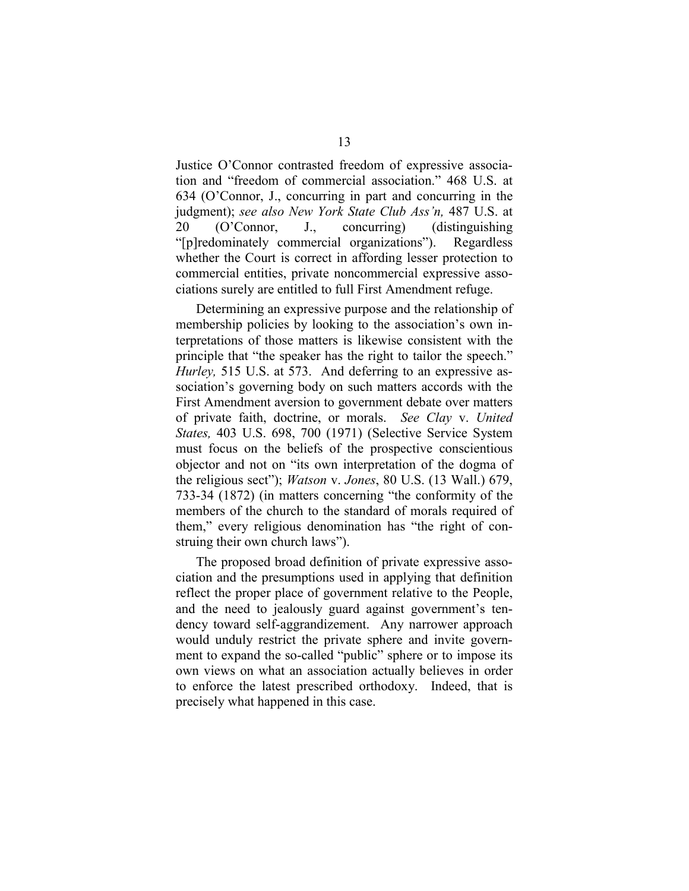Justice O'Connor contrasted freedom of expressive association and "freedom of commercial association." 468 U.S. at 634 (O'Connor, J., concurring in part and concurring in the judgment); *see also New York State Club Ass'n,* 487 U.S. at 20 (O'Connor, J., concurring) (distinguishing "[p]redominately commercial organizations"). Regardless whether the Court is correct in affording lesser protection to commercial entities, private noncommercial expressive associations surely are entitled to full First Amendment refuge.

Determining an expressive purpose and the relationship of membership policies by looking to the association's own interpretations of those matters is likewise consistent with the principle that "the speaker has the right to tailor the speech." *Hurley,* 515 U.S. at 573. And deferring to an expressive association's governing body on such matters accords with the First Amendment aversion to government debate over matters of private faith, doctrine, or morals. *See Clay* v. *United States,* 403 U.S. 698, 700 (1971) (Selective Service System must focus on the beliefs of the prospective conscientious objector and not on "its own interpretation of the dogma of the religious sect"); *Watson* v. *Jones*, 80 U.S. (13 Wall.) 679, 733-34 (1872) (in matters concerning "the conformity of the members of the church to the standard of morals required of them," every religious denomination has "the right of construing their own church laws").

The proposed broad definition of private expressive association and the presumptions used in applying that definition reflect the proper place of government relative to the People, and the need to jealously guard against government's tendency toward self-aggrandizement. Any narrower approach would unduly restrict the private sphere and invite government to expand the so-called "public" sphere or to impose its own views on what an association actually believes in order to enforce the latest prescribed orthodoxy. Indeed, that is precisely what happened in this case.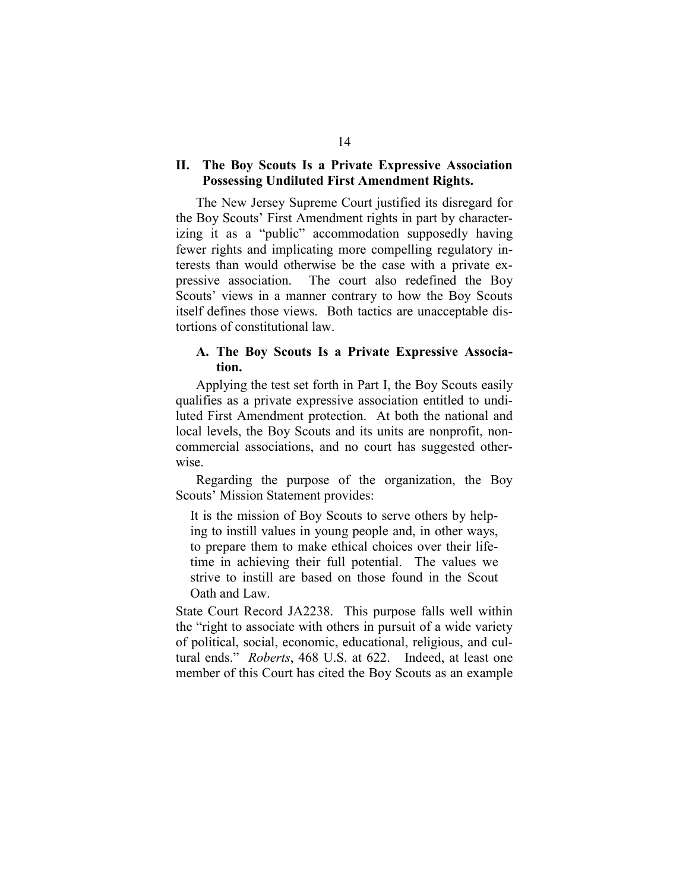#### <span id="page-17-0"></span>**II. The Boy Scouts Is a Private Expressive Association Possessing Undiluted First Amendment Rights.**

The New Jersey Supreme Court justified its disregard for the Boy Scouts' First Amendment rights in part by characterizing it as a "public" accommodation supposedly having fewer rights and implicating more compelling regulatory interests than would otherwise be the case with a private expressive association. The court also redefined the Boy Scouts' views in a manner contrary to how the Boy Scouts itself defines those views. Both tactics are unacceptable distortions of constitutional law.

#### **A. The Boy Scouts Is a Private Expressive Association.**

Applying the test set forth in Part I, the Boy Scouts easily qualifies as a private expressive association entitled to undiluted First Amendment protection. At both the national and local levels, the Boy Scouts and its units are nonprofit, noncommercial associations, and no court has suggested otherwise.

Regarding the purpose of the organization, the Boy Scouts' Mission Statement provides:

It is the mission of Boy Scouts to serve others by helping to instill values in young people and, in other ways, to prepare them to make ethical choices over their lifetime in achieving their full potential. The values we strive to instill are based on those found in the Scout Oath and Law.

State Court Record JA2238. This purpose falls well within the "right to associate with others in pursuit of a wide variety of political, social, economic, educational, religious, and cultural ends." *Roberts*, 468 U.S. at 622. Indeed, at least one member of this Court has cited the Boy Scouts as an example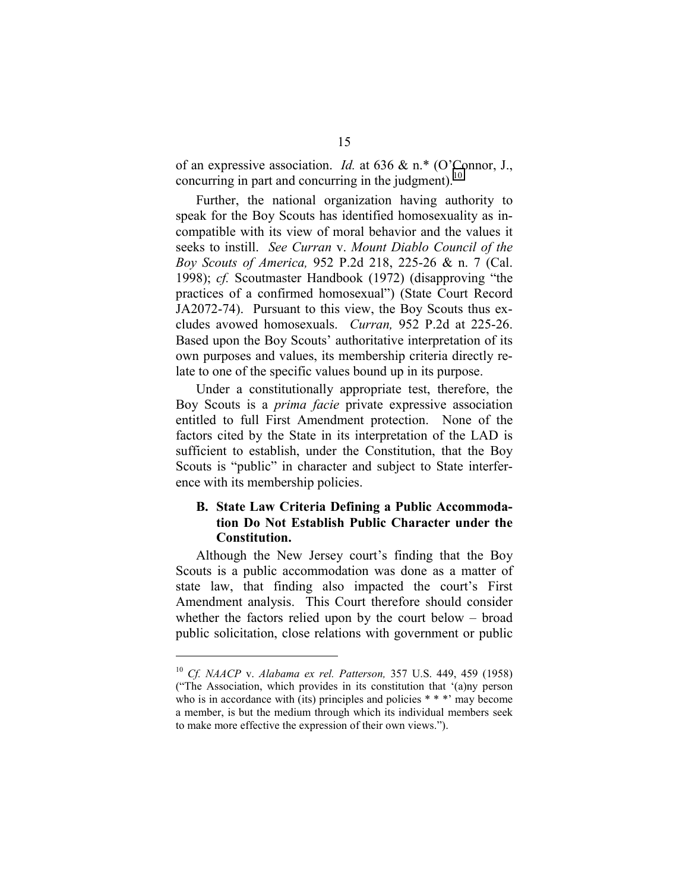<span id="page-18-0"></span>of an expressive association. *Id.* at 636 & n.\* (O'Connor, J., concurring in part and concurring in the judgment).<sup>10</sup>

Further, the national organization having authority to speak for the Boy Scouts has identified homosexuality as incompatible with its view of moral behavior and the values it seeks to instill. *See Curran* v. *Mount Diablo Council of the Boy Scouts of America,* 952 P.2d 218, 225-26 & n. 7 (Cal. 1998); *cf.* Scoutmaster Handbook (1972) (disapproving "the practices of a confirmed homosexual") (State Court Record JA2072-74). Pursuant to this view, the Boy Scouts thus excludes avowed homosexuals. *Curran,* 952 P.2d at 225-26. Based upon the Boy Scouts' authoritative interpretation of its own purposes and values, its membership criteria directly relate to one of the specific values bound up in its purpose.

Under a constitutionally appropriate test, therefore, the Boy Scouts is a *prima facie* private expressive association entitled to full First Amendment protection. None of the factors cited by the State in its interpretation of the LAD is sufficient to establish, under the Constitution, that the Boy Scouts is "public" in character and subject to State interference with its membership policies.

### **B. State Law Criteria Defining a Public Accommodation Do Not Establish Public Character under the Constitution.**

Although the New Jersey court's finding that the Boy Scouts is a public accommodation was done as a matter of state law, that finding also impacted the court's First Amendment analysis. This Court therefore should consider whether the factors relied upon by the court below – broad public solicitation, close relations with government or public

<sup>10</sup> *Cf. NAACP* v. *Alabama ex rel. Patterson,* 357 U.S. 449, 459 (1958) ("The Association, which provides in its constitution that '(a)ny person who is in accordance with (its) principles and policies \* \* \*' may become a member, is but the medium through which its individual members seek to make more effective the expression of their own views.").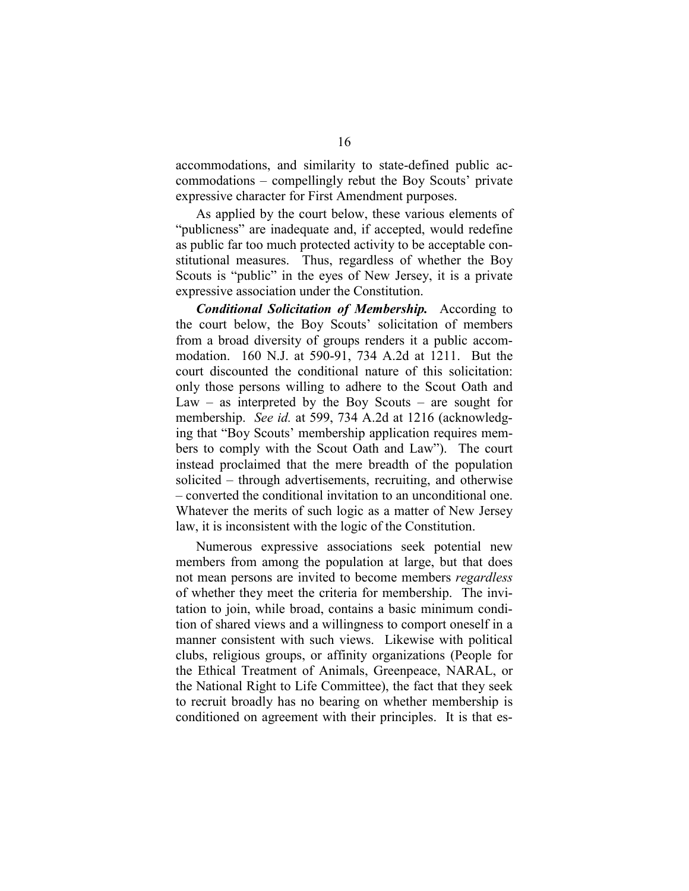accommodations, and similarity to state-defined public accommodations – compellingly rebut the Boy Scouts' private expressive character for First Amendment purposes.

As applied by the court below, these various elements of "publicness" are inadequate and, if accepted, would redefine as public far too much protected activity to be acceptable constitutional measures. Thus, regardless of whether the Boy Scouts is "public" in the eyes of New Jersey, it is a private expressive association under the Constitution.

*Conditional Solicitation of Membership.* According to the court below, the Boy Scouts' solicitation of members from a broad diversity of groups renders it a public accommodation. 160 N.J. at 590-91, 734 A.2d at 1211. But the court discounted the conditional nature of this solicitation: only those persons willing to adhere to the Scout Oath and Law – as interpreted by the Boy Scouts – are sought for membership. *See id.* at 599, 734 A.2d at 1216 (acknowledging that "Boy Scouts' membership application requires members to comply with the Scout Oath and Law"). The court instead proclaimed that the mere breadth of the population solicited – through advertisements, recruiting, and otherwise – converted the conditional invitation to an unconditional one. Whatever the merits of such logic as a matter of New Jersey law, it is inconsistent with the logic of the Constitution.

Numerous expressive associations seek potential new members from among the population at large, but that does not mean persons are invited to become members *regardless* of whether they meet the criteria for membership. The invitation to join, while broad, contains a basic minimum condition of shared views and a willingness to comport oneself in a manner consistent with such views. Likewise with political clubs, religious groups, or affinity organizations (People for the Ethical Treatment of Animals, Greenpeace, NARAL, or the National Right to Life Committee), the fact that they seek to recruit broadly has no bearing on whether membership is conditioned on agreement with their principles. It is that es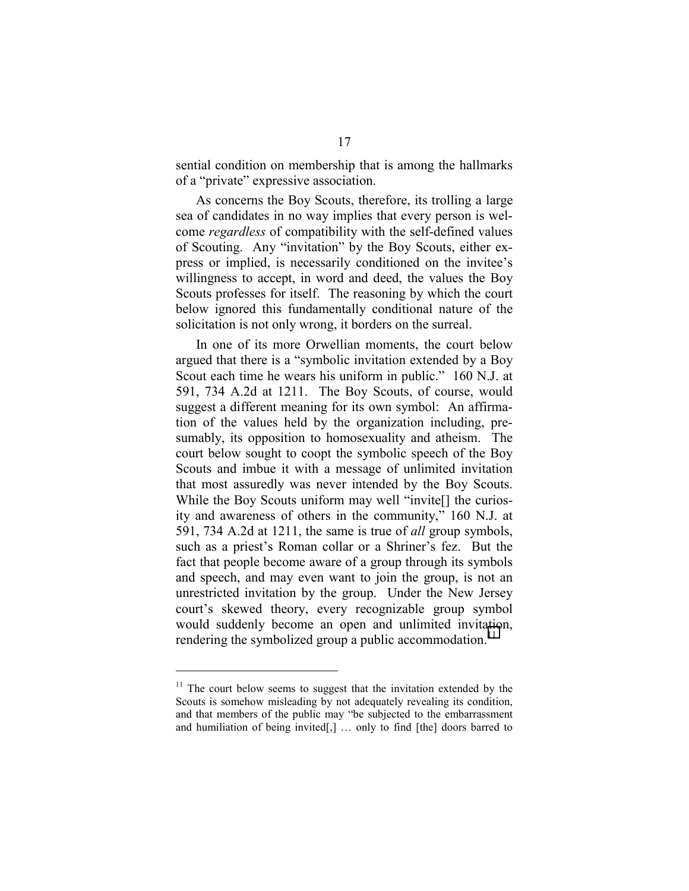sential condition on membership that is among the hallmarks of a "private" expressive association.

As concerns the Boy Scouts, therefore, its trolling a large sea of candidates in no way implies that every person is welcome *regardless* of compatibility with the self-defined values of Scouting. Any "invitation" by the Boy Scouts, either express or implied, is necessarily conditioned on the invitee's willingness to accept, in word and deed, the values the Boy Scouts professes for itself. The reasoning by which the court below ignored this fundamentally conditional nature of the solicitation is not only wrong, it borders on the surreal.

In one of its more Orwellian moments, the court below argued that there is a "symbolic invitation extended by a Boy Scout each time he wears his uniform in public." 160 N.J. at 591, 734 A.2d at 1211. The Boy Scouts, of course, would suggest a different meaning for its own symbol: An affirmation of the values held by the organization including, presumably, its opposition to homosexuality and atheism. The court below sought to coopt the symbolic speech of the Boy Scouts and imbue it with a message of unlimited invitation that most assuredly was never intended by the Boy Scouts. While the Boy Scouts uniform may well "invite<sup>[]</sup> the curiosity and awareness of others in the community," 160 N.J. at 591, 734 A.2d at 1211, the same is true of *all* group symbols, such as a priest's Roman collar or a Shriner's fez. But the fact that people become aware of a group through its symbols and speech, and may even want to join the group, is not an unrestricted invitation by the group. Under the New Jersey court's skewed theory, every recognizable group symbol would suddenly become an open and unlimited invitation, rendering the symbolized group a public accommodation.<sup>11</sup>

 $11$  The court below seems to suggest that the invitation extended by the Scouts is somehow misleading by not adequately revealing its condition, and that members of the public may "be subjected to the embarrassment and humiliation of being invited[,] … only to find [the] doors barred to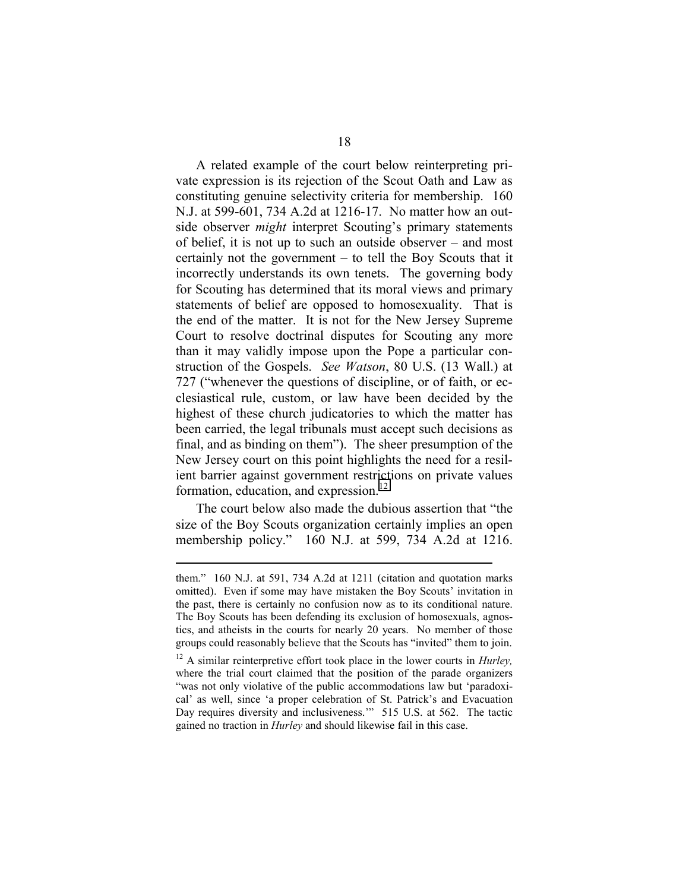A related example of the court below reinterpreting private expression is its rejection of the Scout Oath and Law as constituting genuine selectivity criteria for membership. 160 N.J. at 599-601, 734 A.2d at 1216-17. No matter how an outside observer *might* interpret Scouting's primary statements of belief, it is not up to such an outside observer – and most certainly not the government – to tell the Boy Scouts that it incorrectly understands its own tenets. The governing body for Scouting has determined that its moral views and primary statements of belief are opposed to homosexuality. That is the end of the matter. It is not for the New Jersey Supreme Court to resolve doctrinal disputes for Scouting any more than it may validly impose upon the Pope a particular construction of the Gospels. *See Watson*, 80 U.S. (13 Wall.) at 727 ("whenever the questions of discipline, or of faith, or ecclesiastical rule, custom, or law have been decided by the highest of these church judicatories to which the matter has been carried, the legal tribunals must accept such decisions as final, and as binding on them"). The sheer presumption of the New Jersey court on this point highlights the need for a resilient barrier against government restrictions on private values formation, education, and expression.<sup>12</sup>

The court below also made the dubious assertion that "the size of the Boy Scouts organization certainly implies an open membership policy." 160 N.J. at 599, 734 A.2d at 1216.

them." 160 N.J. at 591, 734 A.2d at 1211 (citation and quotation marks omitted). Even if some may have mistaken the Boy Scouts' invitation in the past, there is certainly no confusion now as to its conditional nature. The Boy Scouts has been defending its exclusion of homosexuals, agnostics, and atheists in the courts for nearly 20 years. No member of those groups could reasonably believe that the Scouts has "invited" them to join.

<sup>12</sup> A similar reinterpretive effort took place in the lower courts in *Hurley,* where the trial court claimed that the position of the parade organizers "was not only violative of the public accommodations law but 'paradoxical' as well, since 'a proper celebration of St. Patrick's and Evacuation Day requires diversity and inclusiveness.'" 515 U.S. at 562. The tactic gained no traction in *Hurley* and should likewise fail in this case.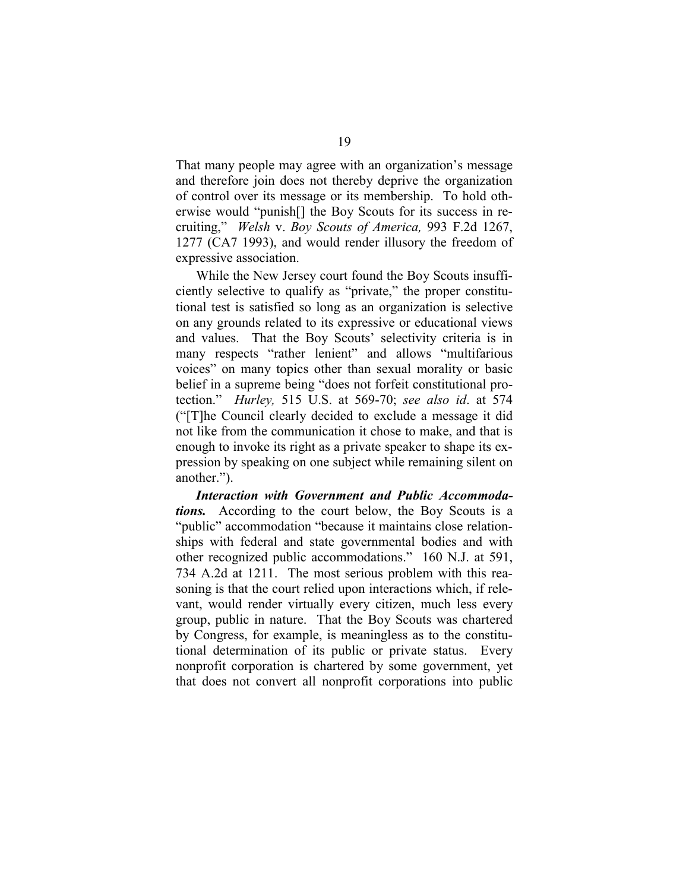That many people may agree with an organization's message and therefore join does not thereby deprive the organization of control over its message or its membership. To hold otherwise would "punish[] the Boy Scouts for its success in recruiting," *Welsh* v. *Boy Scouts of America,* 993 F.2d 1267, 1277 (CA7 1993), and would render illusory the freedom of expressive association.

While the New Jersey court found the Boy Scouts insufficiently selective to qualify as "private," the proper constitutional test is satisfied so long as an organization is selective on any grounds related to its expressive or educational views and values. That the Boy Scouts' selectivity criteria is in many respects "rather lenient" and allows "multifarious voices" on many topics other than sexual morality or basic belief in a supreme being "does not forfeit constitutional protection." *Hurley,* 515 U.S. at 569-70; *see also id*. at 574 ("[T]he Council clearly decided to exclude a message it did not like from the communication it chose to make, and that is enough to invoke its right as a private speaker to shape its expression by speaking on one subject while remaining silent on another.").

*Interaction with Government and Public Accommodations.* According to the court below, the Boy Scouts is a "public" accommodation "because it maintains close relationships with federal and state governmental bodies and with other recognized public accommodations." 160 N.J. at 591, 734 A.2d at 1211. The most serious problem with this reasoning is that the court relied upon interactions which, if relevant, would render virtually every citizen, much less every group, public in nature. That the Boy Scouts was chartered by Congress, for example, is meaningless as to the constitutional determination of its public or private status. Every nonprofit corporation is chartered by some government, yet that does not convert all nonprofit corporations into public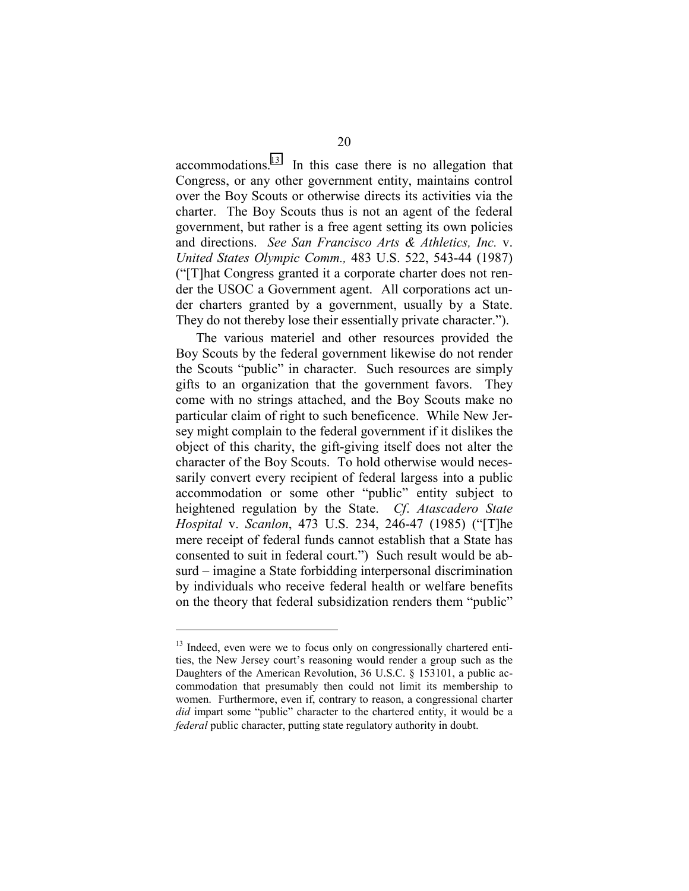accommodations.13 In this case there is no allegation that Congress, or any other government entity, maintains control over the Boy Scouts or otherwise directs its activities via the charter. The Boy Scouts thus is not an agent of the federal government, but rather is a free agent setting its own policies and directions. *See San Francisco Arts & Athletics, Inc.* v. *United States Olympic Comm.,* 483 U.S. 522, 543-44 (1987) ("[T]hat Congress granted it a corporate charter does not render the USOC a Government agent. All corporations act under charters granted by a government, usually by a State. They do not thereby lose their essentially private character.").

The various materiel and other resources provided the Boy Scouts by the federal government likewise do not render the Scouts "public" in character. Such resources are simply gifts to an organization that the government favors. They come with no strings attached, and the Boy Scouts make no particular claim of right to such beneficence. While New Jersey might complain to the federal government if it dislikes the object of this charity, the gift-giving itself does not alter the character of the Boy Scouts. To hold otherwise would necessarily convert every recipient of federal largess into a public accommodation or some other "public" entity subject to heightened regulation by the State. *Cf*. *Atascadero State Hospital* v. *Scanlon*, 473 U.S. 234, 246-47 (1985) ("[T]he mere receipt of federal funds cannot establish that a State has consented to suit in federal court.") Such result would be absurd – imagine a State forbidding interpersonal discrimination by individuals who receive federal health or welfare benefits on the theory that federal subsidization renders them "public"

 $13$  Indeed, even were we to focus only on congressionally chartered entities, the New Jersey court's reasoning would render a group such as the Daughters of the American Revolution, 36 U.S.C. § 153101, a public accommodation that presumably then could not limit its membership to women. Furthermore, even if, contrary to reason, a congressional charter *did* impart some "public" character to the chartered entity, it would be a *federal* public character, putting state regulatory authority in doubt.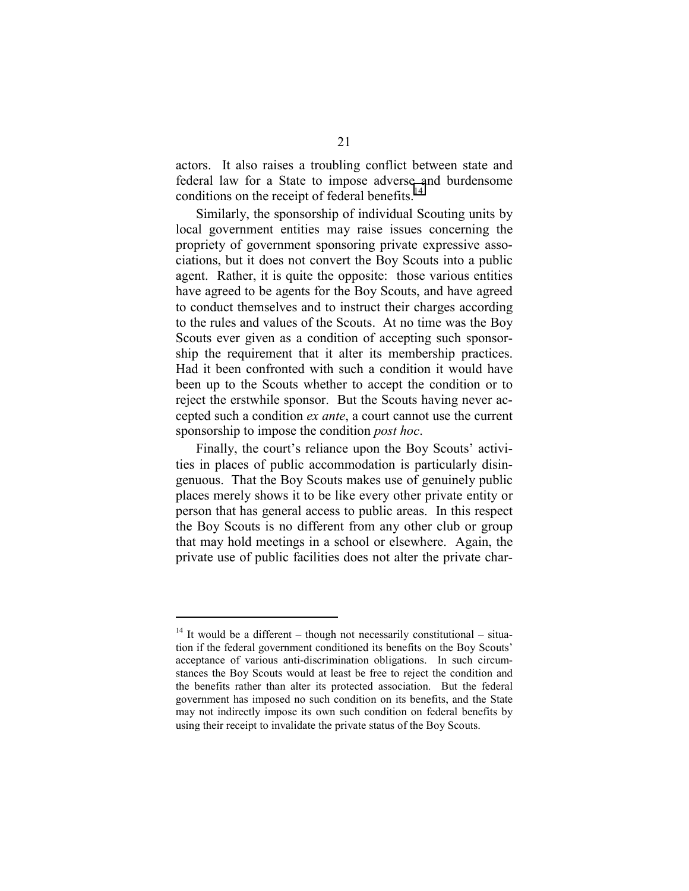actors. It also raises a troubling conflict between state and federal law for a State to impose adverse and burdensome conditions on the receipt of federal benefits.<sup>14</sup>

Similarly, the sponsorship of individual Scouting units by local government entities may raise issues concerning the propriety of government sponsoring private expressive associations, but it does not convert the Boy Scouts into a public agent. Rather, it is quite the opposite: those various entities have agreed to be agents for the Boy Scouts, and have agreed to conduct themselves and to instruct their charges according to the rules and values of the Scouts. At no time was the Boy Scouts ever given as a condition of accepting such sponsorship the requirement that it alter its membership practices. Had it been confronted with such a condition it would have been up to the Scouts whether to accept the condition or to reject the erstwhile sponsor. But the Scouts having never accepted such a condition *ex ante*, a court cannot use the current sponsorship to impose the condition *post hoc*.

Finally, the court's reliance upon the Boy Scouts' activities in places of public accommodation is particularly disingenuous. That the Boy Scouts makes use of genuinely public places merely shows it to be like every other private entity or person that has general access to public areas. In this respect the Boy Scouts is no different from any other club or group that may hold meetings in a school or elsewhere. Again, the private use of public facilities does not alter the private char-

<sup>&</sup>lt;sup>14</sup> It would be a different – though not necessarily constitutional – situation if the federal government conditioned its benefits on the Boy Scouts' acceptance of various anti-discrimination obligations. In such circumstances the Boy Scouts would at least be free to reject the condition and the benefits rather than alter its protected association. But the federal government has imposed no such condition on its benefits, and the State may not indirectly impose its own such condition on federal benefits by using their receipt to invalidate the private status of the Boy Scouts.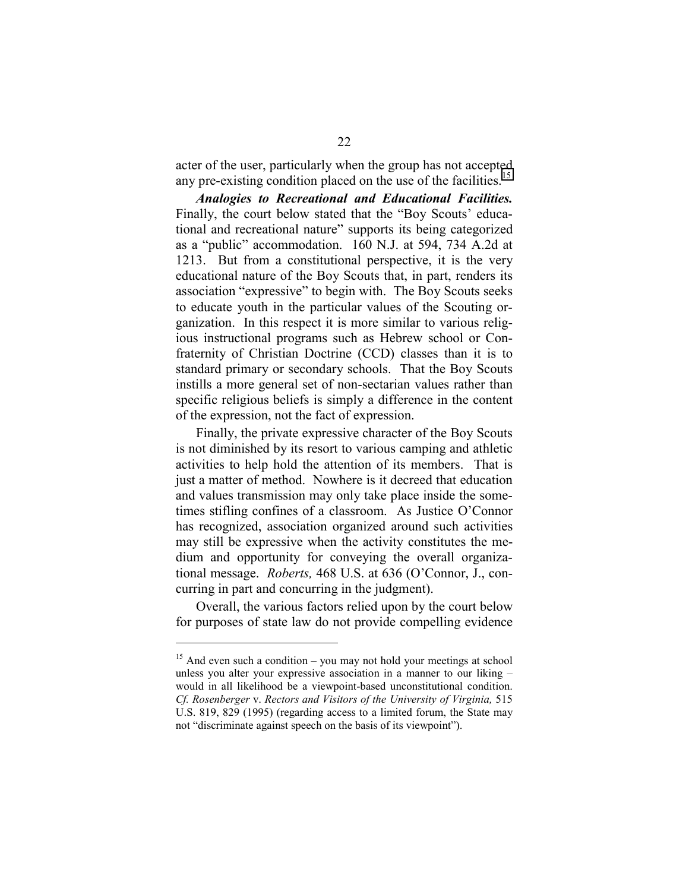acter of the user, particularly when the group has not accepted any pre-existing condition placed on the use of the facilities.<sup>15</sup>

*Analogies to Recreational and Educational Facilities.* Finally, the court below stated that the "Boy Scouts' educational and recreational nature" supports its being categorized as a "public" accommodation. 160 N.J. at 594, 734 A.2d at 1213. But from a constitutional perspective, it is the very educational nature of the Boy Scouts that, in part, renders its association "expressive" to begin with. The Boy Scouts seeks to educate youth in the particular values of the Scouting organization. In this respect it is more similar to various religious instructional programs such as Hebrew school or Confraternity of Christian Doctrine (CCD) classes than it is to standard primary or secondary schools. That the Boy Scouts instills a more general set of non-sectarian values rather than specific religious beliefs is simply a difference in the content of the expression, not the fact of expression.

Finally, the private expressive character of the Boy Scouts is not diminished by its resort to various camping and athletic activities to help hold the attention of its members. That is just a matter of method. Nowhere is it decreed that education and values transmission may only take place inside the sometimes stifling confines of a classroom. As Justice O'Connor has recognized, association organized around such activities may still be expressive when the activity constitutes the medium and opportunity for conveying the overall organizational message. *Roberts,* 468 U.S. at 636 (O'Connor, J., concurring in part and concurring in the judgment).

Overall, the various factors relied upon by the court below for purposes of state law do not provide compelling evidence

<sup>&</sup>lt;sup>15</sup> And even such a condition – you may not hold your meetings at school unless you alter your expressive association in a manner to our liking – would in all likelihood be a viewpoint-based unconstitutional condition. *Cf. Rosenberger* v. *Rectors and Visitors of the University of Virginia,* 515 U.S. 819, 829 (1995) (regarding access to a limited forum, the State may not "discriminate against speech on the basis of its viewpoint").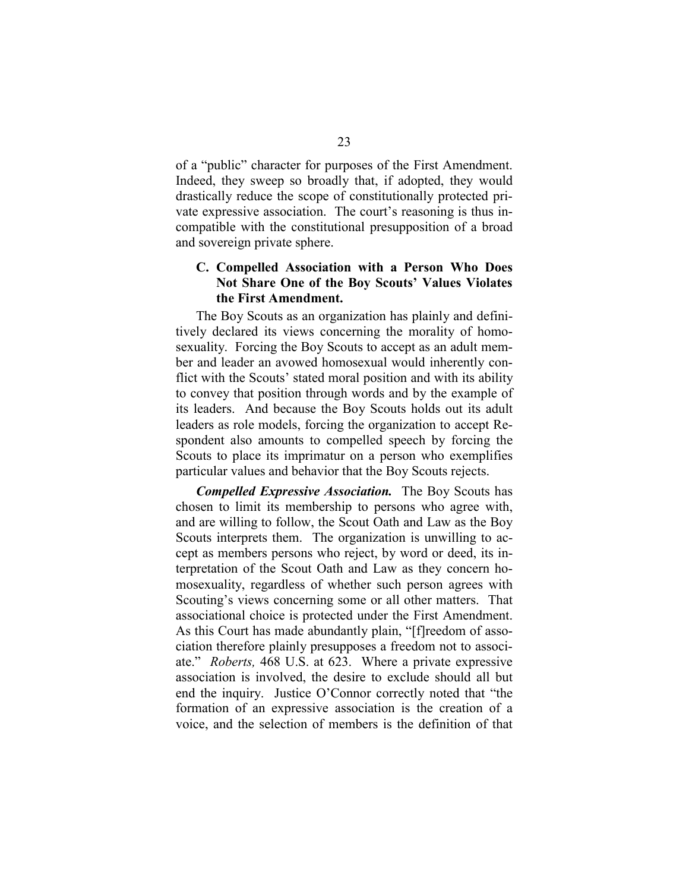<span id="page-26-0"></span>of a "public" character for purposes of the First Amendment. Indeed, they sweep so broadly that, if adopted, they would drastically reduce the scope of constitutionally protected private expressive association. The court's reasoning is thus incompatible with the constitutional presupposition of a broad and sovereign private sphere.

#### **C. Compelled Association with a Person Who Does Not Share One of the Boy Scouts' Values Violates the First Amendment.**

The Boy Scouts as an organization has plainly and definitively declared its views concerning the morality of homosexuality. Forcing the Boy Scouts to accept as an adult member and leader an avowed homosexual would inherently conflict with the Scouts' stated moral position and with its ability to convey that position through words and by the example of its leaders. And because the Boy Scouts holds out its adult leaders as role models, forcing the organization to accept Respondent also amounts to compelled speech by forcing the Scouts to place its imprimatur on a person who exemplifies particular values and behavior that the Boy Scouts rejects.

*Compelled Expressive Association.* The Boy Scouts has chosen to limit its membership to persons who agree with, and are willing to follow, the Scout Oath and Law as the Boy Scouts interprets them. The organization is unwilling to accept as members persons who reject, by word or deed, its interpretation of the Scout Oath and Law as they concern homosexuality, regardless of whether such person agrees with Scouting's views concerning some or all other matters. That associational choice is protected under the First Amendment. As this Court has made abundantly plain, "[f]reedom of association therefore plainly presupposes a freedom not to associate." *Roberts,* 468 U.S. at 623. Where a private expressive association is involved, the desire to exclude should all but end the inquiry. Justice O'Connor correctly noted that "the formation of an expressive association is the creation of a voice, and the selection of members is the definition of that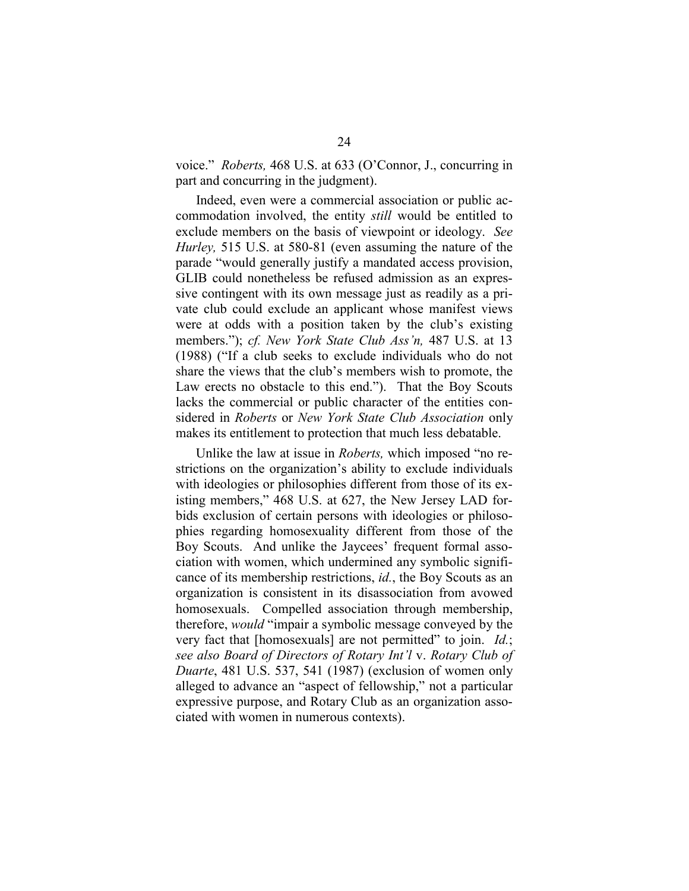voice." *Roberts,* 468 U.S. at 633 (O'Connor, J., concurring in part and concurring in the judgment).

Indeed, even were a commercial association or public accommodation involved, the entity *still* would be entitled to exclude members on the basis of viewpoint or ideology. *See Hurley,* 515 U.S. at 580-81 (even assuming the nature of the parade "would generally justify a mandated access provision, GLIB could nonetheless be refused admission as an expressive contingent with its own message just as readily as a private club could exclude an applicant whose manifest views were at odds with a position taken by the club's existing members."); *cf. New York State Club Ass'n,* 487 U.S. at 13 (1988) ("If a club seeks to exclude individuals who do not share the views that the club's members wish to promote, the Law erects no obstacle to this end."). That the Boy Scouts lacks the commercial or public character of the entities considered in *Roberts* or *New York State Club Association* only makes its entitlement to protection that much less debatable.

Unlike the law at issue in *Roberts,* which imposed "no restrictions on the organization's ability to exclude individuals with ideologies or philosophies different from those of its existing members," 468 U.S. at 627, the New Jersey LAD forbids exclusion of certain persons with ideologies or philosophies regarding homosexuality different from those of the Boy Scouts. And unlike the Jaycees' frequent formal association with women, which undermined any symbolic significance of its membership restrictions, *id.*, the Boy Scouts as an organization is consistent in its disassociation from avowed homosexuals. Compelled association through membership, therefore, *would* "impair a symbolic message conveyed by the very fact that [homosexuals] are not permitted" to join. *Id.*; *see also Board of Directors of Rotary Int'l* v. *Rotary Club of Duarte*, 481 U.S. 537, 541 (1987) (exclusion of women only alleged to advance an "aspect of fellowship," not a particular expressive purpose, and Rotary Club as an organization associated with women in numerous contexts).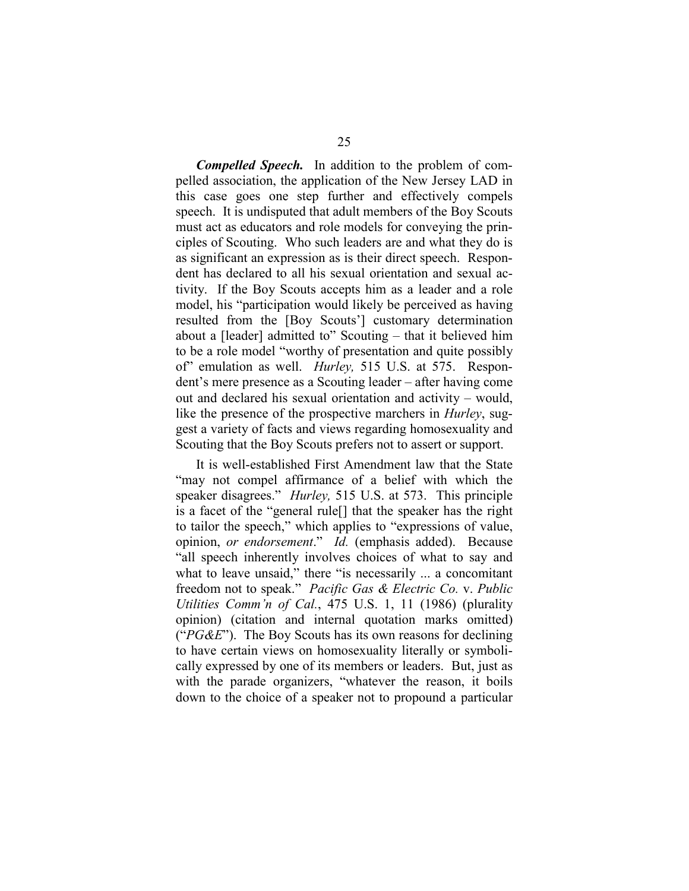*Compelled Speech.* In addition to the problem of compelled association, the application of the New Jersey LAD in this case goes one step further and effectively compels speech. It is undisputed that adult members of the Boy Scouts must act as educators and role models for conveying the principles of Scouting. Who such leaders are and what they do is as significant an expression as is their direct speech. Respondent has declared to all his sexual orientation and sexual activity. If the Boy Scouts accepts him as a leader and a role model, his "participation would likely be perceived as having resulted from the [Boy Scouts'] customary determination about a [leader] admitted to" Scouting – that it believed him to be a role model "worthy of presentation and quite possibly of" emulation as well. *Hurley,* 515 U.S. at 575. Respondent's mere presence as a Scouting leader – after having come out and declared his sexual orientation and activity – would, like the presence of the prospective marchers in *Hurley*, suggest a variety of facts and views regarding homosexuality and Scouting that the Boy Scouts prefers not to assert or support.

It is well-established First Amendment law that the State "may not compel affirmance of a belief with which the speaker disagrees." *Hurley,* 515 U.S. at 573. This principle is a facet of the "general rule[] that the speaker has the right to tailor the speech," which applies to "expressions of value, opinion, *or endorsement*." *Id.* (emphasis added). Because "all speech inherently involves choices of what to say and what to leave unsaid," there "is necessarily ... a concomitant freedom not to speak." *Pacific Gas & Electric Co.* v. *Public Utilities Comm'n of Cal.*, 475 U.S. 1, 11 (1986) (plurality opinion) (citation and internal quotation marks omitted) ("*PG&E*"). The Boy Scouts has its own reasons for declining to have certain views on homosexuality literally or symbolically expressed by one of its members or leaders. But, just as with the parade organizers, "whatever the reason, it boils down to the choice of a speaker not to propound a particular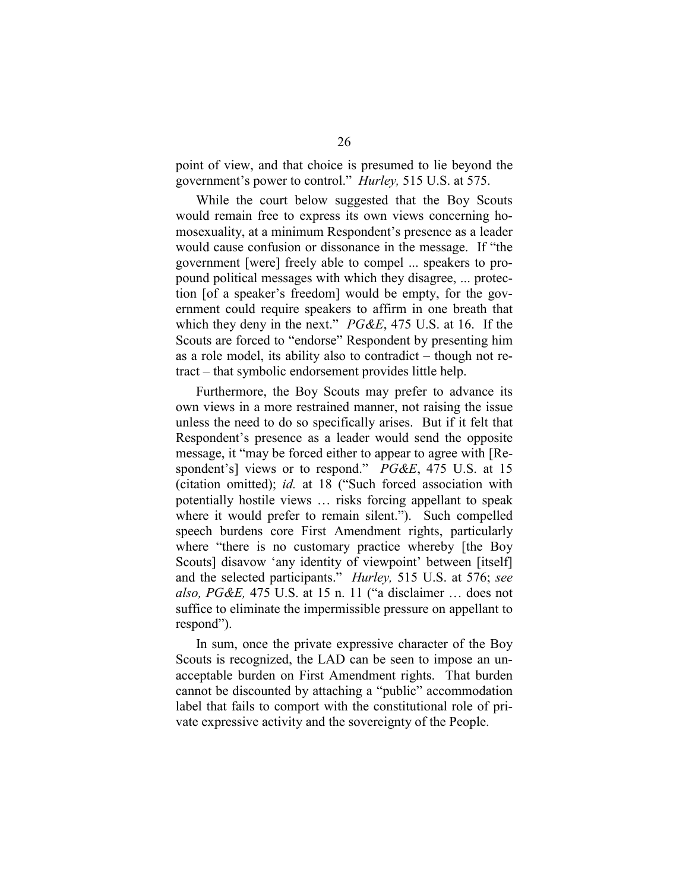point of view, and that choice is presumed to lie beyond the government's power to control." *Hurley,* 515 U.S. at 575.

While the court below suggested that the Boy Scouts would remain free to express its own views concerning homosexuality, at a minimum Respondent's presence as a leader would cause confusion or dissonance in the message. If "the government [were] freely able to compel ... speakers to propound political messages with which they disagree, ... protection [of a speaker's freedom] would be empty, for the government could require speakers to affirm in one breath that which they deny in the next." *PG&E*, 475 U.S. at 16. If the Scouts are forced to "endorse" Respondent by presenting him as a role model, its ability also to contradict – though not retract – that symbolic endorsement provides little help.

Furthermore, the Boy Scouts may prefer to advance its own views in a more restrained manner, not raising the issue unless the need to do so specifically arises. But if it felt that Respondent's presence as a leader would send the opposite message, it "may be forced either to appear to agree with [Respondent's] views or to respond." *PG&E*, 475 U.S. at 15 (citation omitted); *id.* at 18 ("Such forced association with potentially hostile views … risks forcing appellant to speak where it would prefer to remain silent."). Such compelled speech burdens core First Amendment rights, particularly where "there is no customary practice whereby [the Boy Scouts] disavow 'any identity of viewpoint' between [itself] and the selected participants." *Hurley,* 515 U.S. at 576; *see also, PG&E,* 475 U.S. at 15 n. 11 ("a disclaimer … does not suffice to eliminate the impermissible pressure on appellant to respond").

In sum, once the private expressive character of the Boy Scouts is recognized, the LAD can be seen to impose an unacceptable burden on First Amendment rights. That burden cannot be discounted by attaching a "public" accommodation label that fails to comport with the constitutional role of private expressive activity and the sovereignty of the People.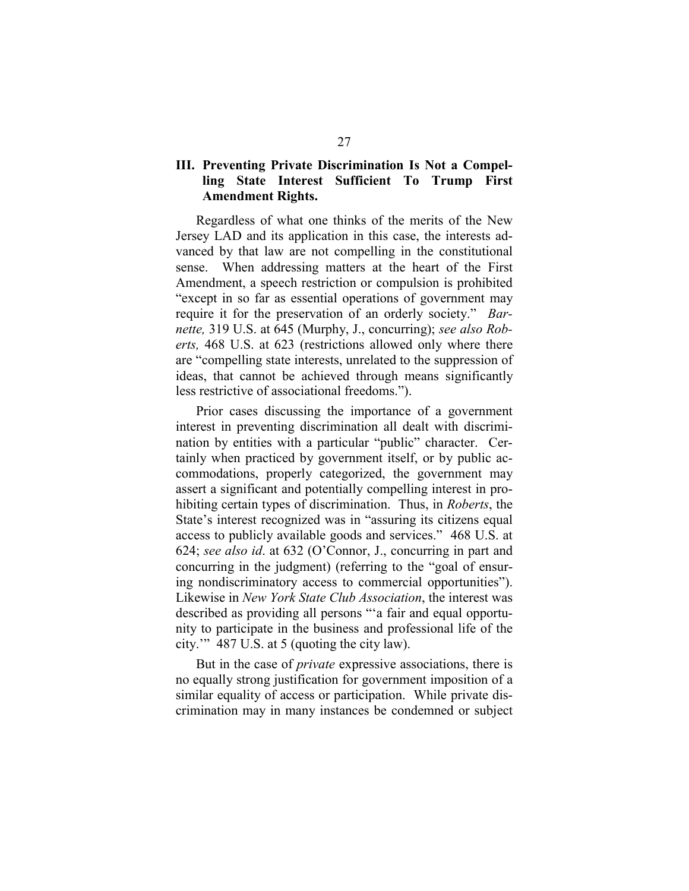### <span id="page-30-0"></span>**III. Preventing Private Discrimination Is Not a Compelling State Interest Sufficient To Trump First Amendment Rights.**

Regardless of what one thinks of the merits of the New Jersey LAD and its application in this case, the interests advanced by that law are not compelling in the constitutional sense. When addressing matters at the heart of the First Amendment, a speech restriction or compulsion is prohibited "except in so far as essential operations of government may require it for the preservation of an orderly society." *Barnette,* 319 U.S. at 645 (Murphy, J., concurring); *see also Roberts,* 468 U.S. at 623 (restrictions allowed only where there are "compelling state interests, unrelated to the suppression of ideas, that cannot be achieved through means significantly less restrictive of associational freedoms.").

Prior cases discussing the importance of a government interest in preventing discrimination all dealt with discrimination by entities with a particular "public" character. Certainly when practiced by government itself, or by public accommodations, properly categorized, the government may assert a significant and potentially compelling interest in prohibiting certain types of discrimination. Thus, in *Roberts*, the State's interest recognized was in "assuring its citizens equal access to publicly available goods and services." 468 U.S. at 624; *see also id*. at 632 (O'Connor, J., concurring in part and concurring in the judgment) (referring to the "goal of ensuring nondiscriminatory access to commercial opportunities"). Likewise in *New York State Club Association*, the interest was described as providing all persons "'a fair and equal opportunity to participate in the business and professional life of the city.'" 487 U.S. at 5 (quoting the city law).

But in the case of *private* expressive associations, there is no equally strong justification for government imposition of a similar equality of access or participation. While private discrimination may in many instances be condemned or subject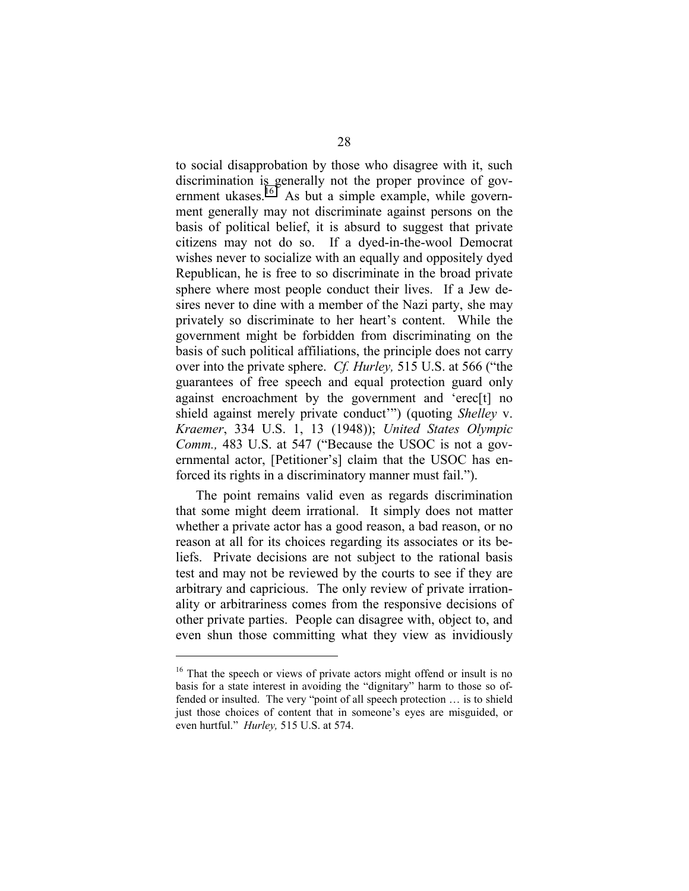to social disapprobation by those who disagree with it, such discrimination is generally not the proper province of government ukases.<sup>16</sup> As but a simple example, while government generally may not discriminate against persons on the basis of political belief, it is absurd to suggest that private citizens may not do so. If a dyed-in-the-wool Democrat wishes never to socialize with an equally and oppositely dyed Republican, he is free to so discriminate in the broad private sphere where most people conduct their lives. If a Jew desires never to dine with a member of the Nazi party, she may privately so discriminate to her heart's content. While the government might be forbidden from discriminating on the basis of such political affiliations, the principle does not carry over into the private sphere. *Cf. Hurley,* 515 U.S. at 566 ("the guarantees of free speech and equal protection guard only against encroachment by the government and 'erec[t] no shield against merely private conduct'") (quoting *Shelley* v. *Kraemer*, 334 U.S. 1, 13 (1948)); *United States Olympic Comm.,* 483 U.S. at 547 ("Because the USOC is not a governmental actor, [Petitioner's] claim that the USOC has enforced its rights in a discriminatory manner must fail.").

The point remains valid even as regards discrimination that some might deem irrational. It simply does not matter whether a private actor has a good reason, a bad reason, or no reason at all for its choices regarding its associates or its beliefs. Private decisions are not subject to the rational basis test and may not be reviewed by the courts to see if they are arbitrary and capricious. The only review of private irrationality or arbitrariness comes from the responsive decisions of other private parties. People can disagree with, object to, and even shun those committing what they view as invidiously

<sup>&</sup>lt;sup>16</sup> That the speech or views of private actors might offend or insult is no basis for a state interest in avoiding the "dignitary" harm to those so offended or insulted. The very "point of all speech protection … is to shield just those choices of content that in someone's eyes are misguided, or even hurtful." *Hurley,* 515 U.S. at 574.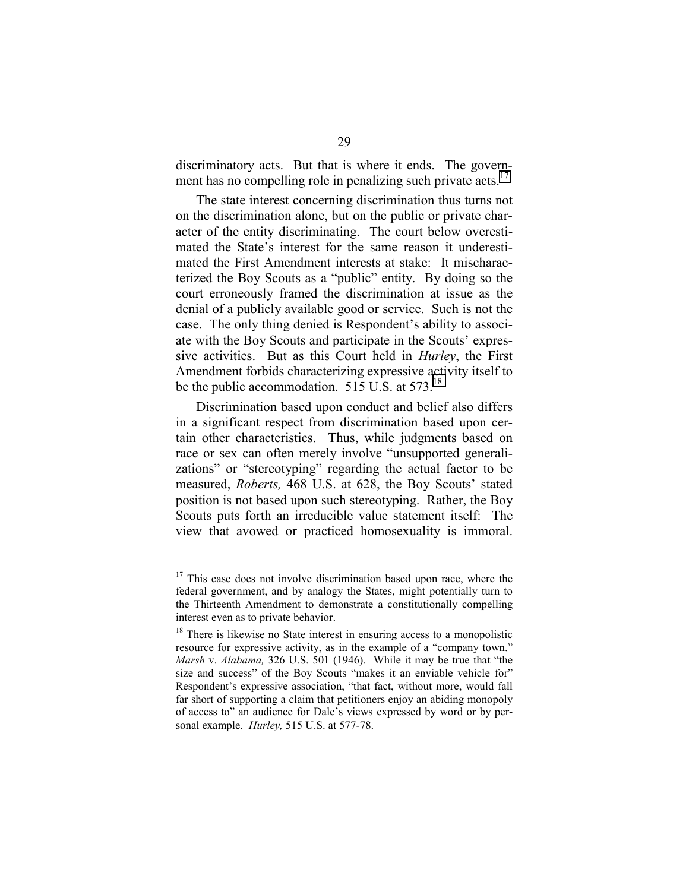discriminatory acts. But that is where it ends. The government has no compelling role in penalizing such private acts.<sup>17</sup>

The state interest concerning discrimination thus turns not on the discrimination alone, but on the public or private character of the entity discriminating. The court below overestimated the State's interest for the same reason it underestimated the First Amendment interests at stake: It mischaracterized the Boy Scouts as a "public" entity. By doing so the court erroneously framed the discrimination at issue as the denial of a publicly available good or service. Such is not the case. The only thing denied is Respondent's ability to associate with the Boy Scouts and participate in the Scouts' expressive activities. But as this Court held in *Hurley*, the First Amendment forbids characterizing expressive activity itself to be the public accommodation.  $515 \text{ U.S.}$  at  $573$ .<sup>18</sup>

Discrimination based upon conduct and belief also differs in a significant respect from discrimination based upon certain other characteristics. Thus, while judgments based on race or sex can often merely involve "unsupported generalizations" or "stereotyping" regarding the actual factor to be measured, *Roberts,* 468 U.S. at 628, the Boy Scouts' stated position is not based upon such stereotyping. Rather, the Boy Scouts puts forth an irreducible value statement itself: The view that avowed or practiced homosexuality is immoral.

 $17$  This case does not involve discrimination based upon race, where the federal government, and by analogy the States, might potentially turn to the Thirteenth Amendment to demonstrate a constitutionally compelling interest even as to private behavior.

<sup>&</sup>lt;sup>18</sup> There is likewise no State interest in ensuring access to a monopolistic resource for expressive activity, as in the example of a "company town." *Marsh* v. *Alabama,* 326 U.S. 501 (1946). While it may be true that "the size and success" of the Boy Scouts "makes it an enviable vehicle for" Respondent's expressive association, "that fact, without more, would fall far short of supporting a claim that petitioners enjoy an abiding monopoly of access to" an audience for Dale's views expressed by word or by personal example. *Hurley,* 515 U.S. at 577-78.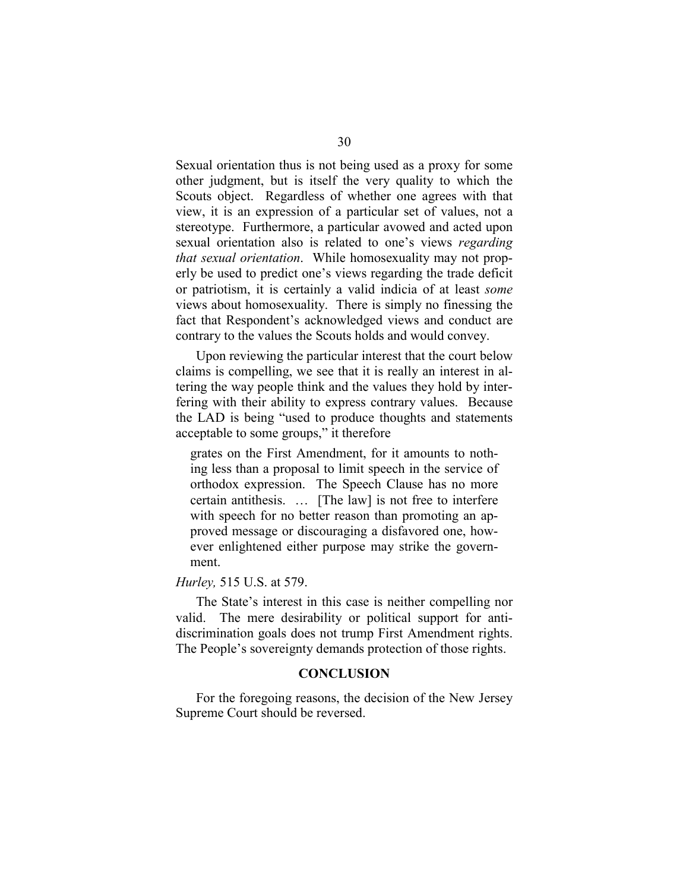<span id="page-33-0"></span>Sexual orientation thus is not being used as a proxy for some other judgment, but is itself the very quality to which the Scouts object. Regardless of whether one agrees with that view, it is an expression of a particular set of values, not a stereotype. Furthermore, a particular avowed and acted upon sexual orientation also is related to one's views *regarding that sexual orientation*. While homosexuality may not properly be used to predict one's views regarding the trade deficit or patriotism, it is certainly a valid indicia of at least *some* views about homosexuality. There is simply no finessing the fact that Respondent's acknowledged views and conduct are contrary to the values the Scouts holds and would convey.

Upon reviewing the particular interest that the court below claims is compelling, we see that it is really an interest in altering the way people think and the values they hold by interfering with their ability to express contrary values. Because the LAD is being "used to produce thoughts and statements acceptable to some groups," it therefore

grates on the First Amendment, for it amounts to nothing less than a proposal to limit speech in the service of orthodox expression. The Speech Clause has no more certain antithesis. … [The law] is not free to interfere with speech for no better reason than promoting an approved message or discouraging a disfavored one, however enlightened either purpose may strike the government.

*Hurley,* 515 U.S. at 579.

The State's interest in this case is neither compelling nor valid. The mere desirability or political support for antidiscrimination goals does not trump First Amendment rights. The People's sovereignty demands protection of those rights.

#### **CONCLUSION**

For the foregoing reasons, the decision of the New Jersey Supreme Court should be reversed.